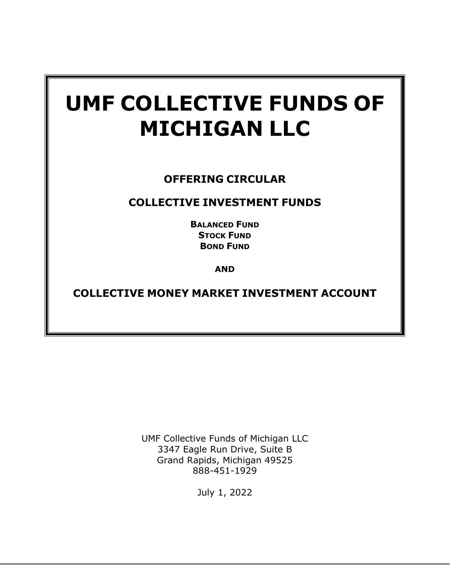# **UMF COLLECTIVE FUNDS OF MICHIGAN LLC**

# **OFFERING CIRCULAR**

# **COLLECTIVE INVESTMENT FUNDS**

**BALANCED FUND STOCK FUND BOND FUND**

**AND**

**COLLECTIVE MONEY MARKET INVESTMENT ACCOUNT**

UMF Collective Funds of Michigan LLC 3347 Eagle Run Drive, Suite B Grand Rapids, Michigan 49525 888-451-1929

July 1, 2022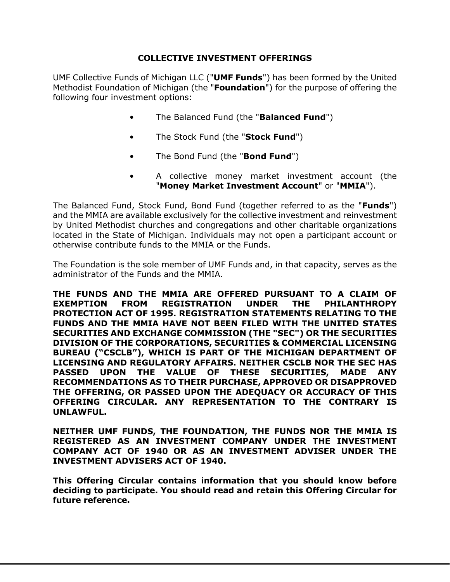## **COLLECTIVE INVESTMENT OFFERINGS**

UMF Collective Funds of Michigan LLC ("**UMF Funds**") has been formed by the United Methodist Foundation of Michigan (the "**Foundation**") for the purpose of offering the following four investment options:

- The Balanced Fund (the "**Balanced Fund**")
- The Stock Fund (the "**Stock Fund**")
- The Bond Fund (the "**Bond Fund**")
- A collective money market investment account (the "**Money Market Investment Account**" or "**MMIA**").

The Balanced Fund, Stock Fund, Bond Fund (together referred to as the "**Funds**") and the MMIA are available exclusively for the collective investment and reinvestment by United Methodist churches and congregations and other charitable organizations located in the State of Michigan. Individuals may not open a participant account or otherwise contribute funds to the MMIA or the Funds.

The Foundation is the sole member of UMF Funds and, in that capacity, serves as the administrator of the Funds and the MMIA.

**THE FUNDS AND THE MMIA ARE OFFERED PURSUANT TO A CLAIM OF EXEMPTION FROM REGISTRATION UNDER THE PHILANTHROPY PROTECTION ACT OF 1995. REGISTRATION STATEMENTS RELATING TO THE FUNDS AND THE MMIA HAVE NOT BEEN FILED WITH THE UNITED STATES SECURITIES AND EXCHANGE COMMISSION (THE "SEC") OR THE SECURITIES DIVISION OF THE CORPORATIONS, SECURITIES & COMMERCIAL LICENSING BUREAU ("CSCLB"), WHICH IS PART OF THE MICHIGAN DEPARTMENT OF LICENSING AND REGULATORY AFFAIRS. NEITHER CSCLB NOR THE SEC HAS PASSED UPON THE VALUE OF THESE SECURITIES, MADE ANY RECOMMENDATIONS AS TO THEIR PURCHASE, APPROVED OR DISAPPROVED THE OFFERING, OR PASSED UPON THE ADEQUACY OR ACCURACY OF THIS OFFERING CIRCULAR. ANY REPRESENTATION TO THE CONTRARY IS UNLAWFUL.**

**NEITHER UMF FUNDS, THE FOUNDATION, THE FUNDS NOR THE MMIA IS REGISTERED AS AN INVESTMENT COMPANY UNDER THE INVESTMENT COMPANY ACT OF 1940 OR AS AN INVESTMENT ADVISER UNDER THE INVESTMENT ADVISERS ACT OF 1940.**

**This Offering Circular contains information that you should know before deciding to participate. You should read and retain this Offering Circular for future reference.**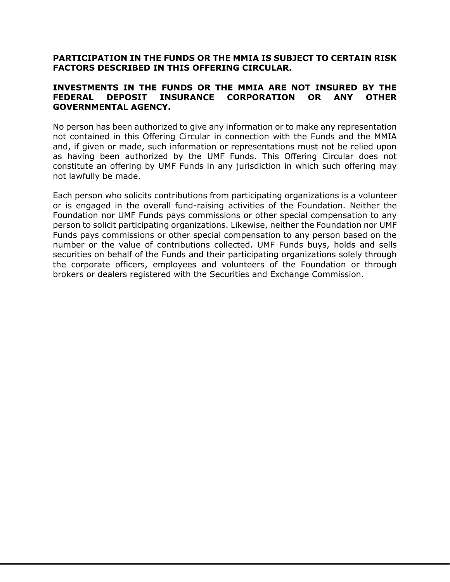#### **PARTICIPATION IN THE FUNDS OR THE MMIA IS SUBJECT TO CERTAIN RISK FACTORS DESCRIBED IN THIS OFFERING CIRCULAR.**

#### **INVESTMENTS IN THE FUNDS OR THE MMIA ARE NOT INSURED BY THE FEDERAL DEPOSIT INSURANCE CORPORATION OR ANY OTHER GOVERNMENTAL AGENCY.**

No person has been authorized to give any information or to make any representation not contained in this Offering Circular in connection with the Funds and the MMIA and, if given or made, such information or representations must not be relied upon as having been authorized by the UMF Funds. This Offering Circular does not constitute an offering by UMF Funds in any jurisdiction in which such offering may not lawfully be made.

Each person who solicits contributions from participating organizations is a volunteer or is engaged in the overall fund-raising activities of the Foundation. Neither the Foundation nor UMF Funds pays commissions or other special compensation to any person to solicit participating organizations. Likewise, neither the Foundation nor UMF Funds pays commissions or other special compensation to any person based on the number or the value of contributions collected. UMF Funds buys, holds and sells securities on behalf of the Funds and their participating organizations solely through the corporate officers, employees and volunteers of the Foundation or through brokers or dealers registered with the Securities and Exchange Commission.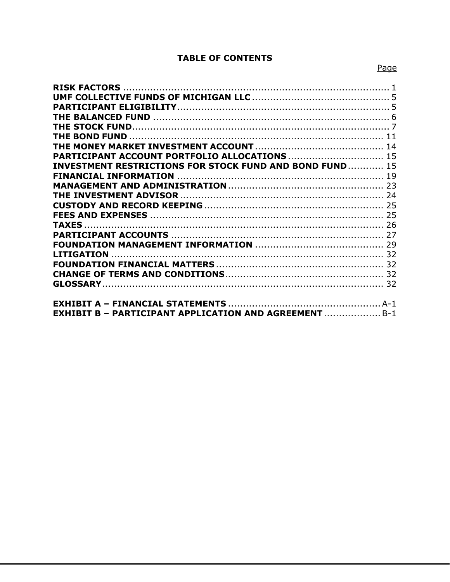## **TABLE OF CONTENTS**

| PARTICIPANT ACCOUNT PORTFOLIO ALLOCATIONS  15                   |  |
|-----------------------------------------------------------------|--|
| <b>INVESTMENT RESTRICTIONS FOR STOCK FUND AND BOND FUND  15</b> |  |
|                                                                 |  |
|                                                                 |  |
|                                                                 |  |
|                                                                 |  |
|                                                                 |  |
|                                                                 |  |
|                                                                 |  |
|                                                                 |  |
|                                                                 |  |
|                                                                 |  |
|                                                                 |  |
|                                                                 |  |
|                                                                 |  |
|                                                                 |  |
| <b>EXHIBIT B - PARTICIPANT APPLICATION AND AGREEMENT B-1</b>    |  |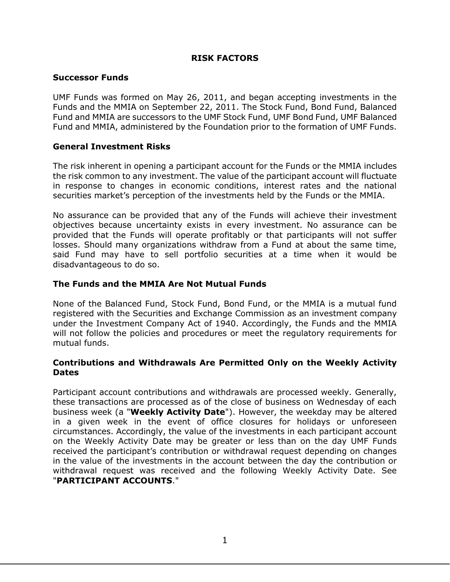## **RISK FACTORS**

#### <span id="page-4-0"></span>**Successor Funds**

UMF Funds was formed on May 26, 2011, and began accepting investments in the Funds and the MMIA on September 22, 2011. The Stock Fund, Bond Fund, Balanced Fund and MMIA are successors to the UMF Stock Fund, UMF Bond Fund, UMF Balanced Fund and MMIA, administered by the Foundation prior to the formation of UMF Funds.

#### **General Investment Risks**

The risk inherent in opening a participant account for the Funds or the MMIA includes the risk common to any investment. The value of the participant account will fluctuate in response to changes in economic conditions, interest rates and the national securities market's perception of the investments held by the Funds or the MMIA.

No assurance can be provided that any of the Funds will achieve their investment objectives because uncertainty exists in every investment. No assurance can be provided that the Funds will operate profitably or that participants will not suffer losses. Should many organizations withdraw from a Fund at about the same time, said Fund may have to sell portfolio securities at a time when it would be disadvantageous to do so.

#### **The Funds and the MMIA Are Not Mutual Funds**

None of the Balanced Fund, Stock Fund, Bond Fund, or the MMIA is a mutual fund registered with the Securities and Exchange Commission as an investment company under the Investment Company Act of 1940. Accordingly, the Funds and the MMIA will not follow the policies and procedures or meet the regulatory requirements for mutual funds.

#### **Contributions and Withdrawals Are Permitted Only on the Weekly Activity Dates**

Participant account contributions and withdrawals are processed weekly. Generally, these transactions are processed as of the close of business on Wednesday of each business week (a "**Weekly Activity Date**"). However, the weekday may be altered in a given week in the event of office closures for holidays or unforeseen circumstances. Accordingly, the value of the investments in each participant account on the Weekly Activity Date may be greater or less than on the day UMF Funds received the participant's contribution or withdrawal request depending on changes in the value of the investments in the account between the day the contribution or withdrawal request was received and the following Weekly Activity Date. See "**PARTICIPANT ACCOUNTS**."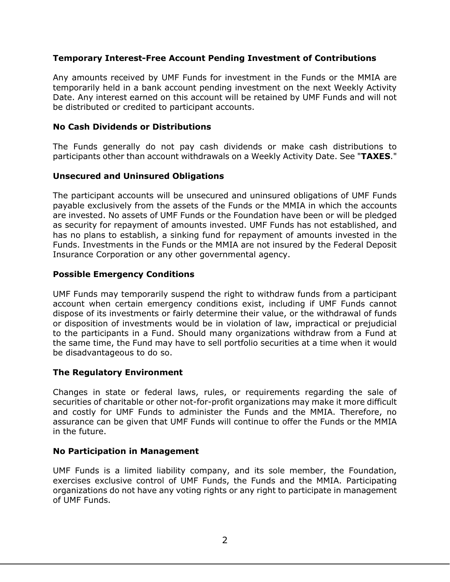## **Temporary Interest-Free Account Pending Investment of Contributions**

Any amounts received by UMF Funds for investment in the Funds or the MMIA are temporarily held in a bank account pending investment on the next Weekly Activity Date. Any interest earned on this account will be retained by UMF Funds and will not be distributed or credited to participant accounts.

## **No Cash Dividends or Distributions**

The Funds generally do not pay cash dividends or make cash distributions to participants other than account withdrawals on a Weekly Activity Date. See "**TAXES**."

## **Unsecured and Uninsured Obligations**

The participant accounts will be unsecured and uninsured obligations of UMF Funds payable exclusively from the assets of the Funds or the MMIA in which the accounts are invested. No assets of UMF Funds or the Foundation have been or will be pledged as security for repayment of amounts invested. UMF Funds has not established, and has no plans to establish, a sinking fund for repayment of amounts invested in the Funds. Investments in the Funds or the MMIA are not insured by the Federal Deposit Insurance Corporation or any other governmental agency.

## **Possible Emergency Conditions**

UMF Funds may temporarily suspend the right to withdraw funds from a participant account when certain emergency conditions exist, including if UMF Funds cannot dispose of its investments or fairly determine their value, or the withdrawal of funds or disposition of investments would be in violation of law, impractical or prejudicial to the participants in a Fund. Should many organizations withdraw from a Fund at the same time, the Fund may have to sell portfolio securities at a time when it would be disadvantageous to do so.

## **The Regulatory Environment**

Changes in state or federal laws, rules, or requirements regarding the sale of securities of charitable or other not-for-profit organizations may make it more difficult and costly for UMF Funds to administer the Funds and the MMIA. Therefore, no assurance can be given that UMF Funds will continue to offer the Funds or the MMIA in the future.

## **No Participation in Management**

UMF Funds is a limited liability company, and its sole member, the Foundation, exercises exclusive control of UMF Funds, the Funds and the MMIA. Participating organizations do not have any voting rights or any right to participate in management of UMF Funds.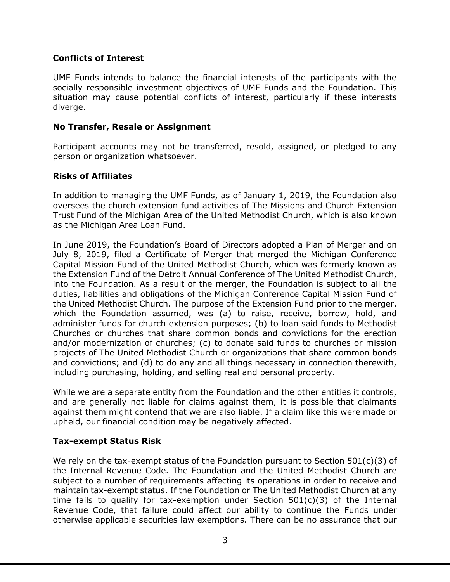## **Conflicts of Interest**

UMF Funds intends to balance the financial interests of the participants with the socially responsible investment objectives of UMF Funds and the Foundation. This situation may cause potential conflicts of interest, particularly if these interests diverge.

## **No Transfer, Resale or Assignment**

Participant accounts may not be transferred, resold, assigned, or pledged to any person or organization whatsoever.

## **Risks of Affiliates**

In addition to managing the UMF Funds, as of January 1, 2019, the Foundation also oversees the church extension fund activities of The Missions and Church Extension Trust Fund of the Michigan Area of the United Methodist Church, which is also known as the Michigan Area Loan Fund.

In June 2019, the Foundation's Board of Directors adopted a Plan of Merger and on July 8, 2019, filed a Certificate of Merger that merged the Michigan Conference Capital Mission Fund of the United Methodist Church, which was formerly known as the Extension Fund of the Detroit Annual Conference of The United Methodist Church, into the Foundation. As a result of the merger, the Foundation is subject to all the duties, liabilities and obligations of the Michigan Conference Capital Mission Fund of the United Methodist Church. The purpose of the Extension Fund prior to the merger, which the Foundation assumed, was (a) to raise, receive, borrow, hold, and administer funds for church extension purposes; (b) to loan said funds to Methodist Churches or churches that share common bonds and convictions for the erection and/or modernization of churches; (c) to donate said funds to churches or mission projects of The United Methodist Church or organizations that share common bonds and convictions; and (d) to do any and all things necessary in connection therewith, including purchasing, holding, and selling real and personal property.

While we are a separate entity from the Foundation and the other entities it controls, and are generally not liable for claims against them, it is possible that claimants against them might contend that we are also liable. If a claim like this were made or upheld, our financial condition may be negatively affected.

## **Tax-exempt Status Risk**

We rely on the tax-exempt status of the Foundation pursuant to Section  $501(c)(3)$  of the Internal Revenue Code. The Foundation and the United Methodist Church are subject to a number of requirements affecting its operations in order to receive and maintain tax-exempt status. If the Foundation or The United Methodist Church at any time fails to qualify for tax-exemption under Section  $501(c)(3)$  of the Internal Revenue Code, that failure could affect our ability to continue the Funds under otherwise applicable securities law exemptions. There can be no assurance that our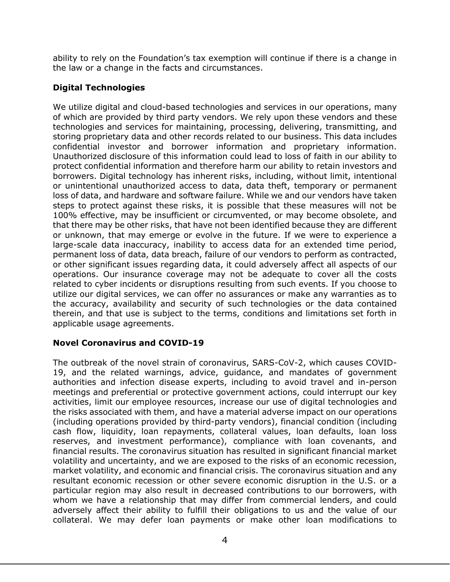ability to rely on the Foundation's tax exemption will continue if there is a change in the law or a change in the facts and circumstances.

## **Digital Technologies**

We utilize digital and cloud-based technologies and services in our operations, many of which are provided by third party vendors. We rely upon these vendors and these technologies and services for maintaining, processing, delivering, transmitting, and storing proprietary data and other records related to our business. This data includes confidential investor and borrower information and proprietary information. Unauthorized disclosure of this information could lead to loss of faith in our ability to protect confidential information and therefore harm our ability to retain investors and borrowers. Digital technology has inherent risks, including, without limit, intentional or unintentional unauthorized access to data, data theft, temporary or permanent loss of data, and hardware and software failure. While we and our vendors have taken steps to protect against these risks, it is possible that these measures will not be 100% effective, may be insufficient or circumvented, or may become obsolete, and that there may be other risks, that have not been identified because they are different or unknown, that may emerge or evolve in the future. If we were to experience a large-scale data inaccuracy, inability to access data for an extended time period, permanent loss of data, data breach, failure of our vendors to perform as contracted, or other significant issues regarding data, it could adversely affect all aspects of our operations. Our insurance coverage may not be adequate to cover all the costs related to cyber incidents or disruptions resulting from such events. If you choose to utilize our digital services, we can offer no assurances or make any warranties as to the accuracy, availability and security of such technologies or the data contained therein, and that use is subject to the terms, conditions and limitations set forth in applicable usage agreements.

## **Novel Coronavirus and COVID-19**

The outbreak of the novel strain of coronavirus, SARS-CoV-2, which causes COVID-19, and the related warnings, advice, guidance, and mandates of government authorities and infection disease experts, including to avoid travel and in-person meetings and preferential or protective government actions, could interrupt our key activities, limit our employee resources, increase our use of digital technologies and the risks associated with them, and have a material adverse impact on our operations (including operations provided by third-party vendors), financial condition (including cash flow, liquidity, loan repayments, collateral values, loan defaults, loan loss reserves, and investment performance), compliance with loan covenants, and financial results. The coronavirus situation has resulted in significant financial market volatility and uncertainty, and we are exposed to the risks of an economic recession, market volatility, and economic and financial crisis. The coronavirus situation and any resultant economic recession or other severe economic disruption in the U.S. or a particular region may also result in decreased contributions to our borrowers, with whom we have a relationship that may differ from commercial lenders, and could adversely affect their ability to fulfill their obligations to us and the value of our collateral. We may defer loan payments or make other loan modifications to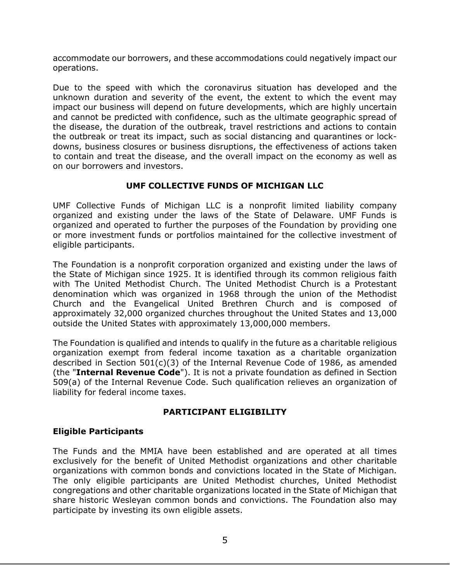accommodate our borrowers, and these accommodations could negatively impact our operations.

Due to the speed with which the coronavirus situation has developed and the unknown duration and severity of the event, the extent to which the event may impact our business will depend on future developments, which are highly uncertain and cannot be predicted with confidence, such as the ultimate geographic spread of the disease, the duration of the outbreak, travel restrictions and actions to contain the outbreak or treat its impact, such as social distancing and quarantines or lockdowns, business closures or business disruptions, the effectiveness of actions taken to contain and treat the disease, and the overall impact on the economy as well as on our borrowers and investors.

## **UMF COLLECTIVE FUNDS OF MICHIGAN LLC**

<span id="page-8-0"></span>UMF Collective Funds of Michigan LLC is a nonprofit limited liability company organized and existing under the laws of the State of Delaware. UMF Funds is organized and operated to further the purposes of the Foundation by providing one or more investment funds or portfolios maintained for the collective investment of eligible participants.

The Foundation is a nonprofit corporation organized and existing under the laws of the State of Michigan since 1925. It is identified through its common religious faith with The United Methodist Church. The United Methodist Church is a Protestant denomination which was organized in 1968 through the union of the Methodist Church and the Evangelical United Brethren Church and is composed of approximately 32,000 organized churches throughout the United States and 13,000 outside the United States with approximately 13,000,000 members.

The Foundation is qualified and intends to qualify in the future as a charitable religious organization exempt from federal income taxation as a charitable organization described in Section  $501(c)(3)$  of the Internal Revenue Code of 1986, as amended (the "**Internal Revenue Code**"). It is not a private foundation as defined in Section 509(a) of the Internal Revenue Code. Such qualification relieves an organization of liability for federal income taxes.

## **PARTICIPANT ELIGIBILITY**

## <span id="page-8-1"></span>**Eligible Participants**

The Funds and the MMIA have been established and are operated at all times exclusively for the benefit of United Methodist organizations and other charitable organizations with common bonds and convictions located in the State of Michigan. The only eligible participants are United Methodist churches, United Methodist congregations and other charitable organizations located in the State of Michigan that share historic Wesleyan common bonds and convictions. The Foundation also may participate by investing its own eligible assets.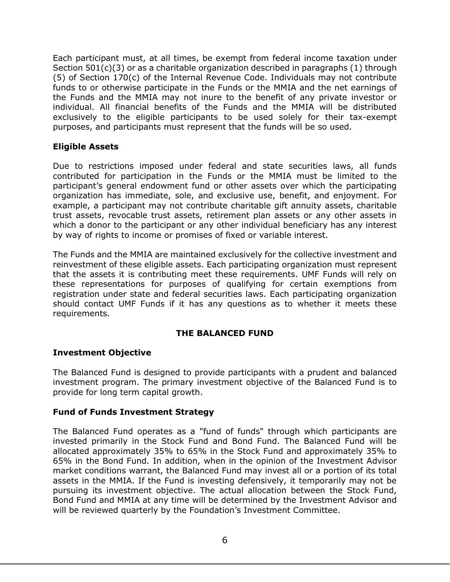Each participant must, at all times, be exempt from federal income taxation under Section  $501(c)(3)$  or as a charitable organization described in paragraphs  $(1)$  through (5) of Section 170(c) of the Internal Revenue Code. Individuals may not contribute funds to or otherwise participate in the Funds or the MMIA and the net earnings of the Funds and the MMIA may not inure to the benefit of any private investor or individual. All financial benefits of the Funds and the MMIA will be distributed exclusively to the eligible participants to be used solely for their tax-exempt purposes, and participants must represent that the funds will be so used.

## **Eligible Assets**

Due to restrictions imposed under federal and state securities laws, all funds contributed for participation in the Funds or the MMIA must be limited to the participant's general endowment fund or other assets over which the participating organization has immediate, sole, and exclusive use, benefit, and enjoyment. For example, a participant may not contribute charitable gift annuity assets, charitable trust assets, revocable trust assets, retirement plan assets or any other assets in which a donor to the participant or any other individual beneficiary has any interest by way of rights to income or promises of fixed or variable interest.

The Funds and the MMIA are maintained exclusively for the collective investment and reinvestment of these eligible assets. Each participating organization must represent that the assets it is contributing meet these requirements. UMF Funds will rely on these representations for purposes of qualifying for certain exemptions from registration under state and federal securities laws. Each participating organization should contact UMF Funds if it has any questions as to whether it meets these requirements.

## **THE BALANCED FUND**

## <span id="page-9-0"></span>**Investment Objective**

The Balanced Fund is designed to provide participants with a prudent and balanced investment program. The primary investment objective of the Balanced Fund is to provide for long term capital growth.

## **Fund of Funds Investment Strategy**

The Balanced Fund operates as a "fund of funds" through which participants are invested primarily in the Stock Fund and Bond Fund. The Balanced Fund will be allocated approximately 35% to 65% in the Stock Fund and approximately 35% to 65% in the Bond Fund. In addition, when in the opinion of the Investment Advisor market conditions warrant, the Balanced Fund may invest all or a portion of its total assets in the MMIA. If the Fund is investing defensively, it temporarily may not be pursuing its investment objective. The actual allocation between the Stock Fund, Bond Fund and MMIA at any time will be determined by the Investment Advisor and will be reviewed quarterly by the Foundation's Investment Committee.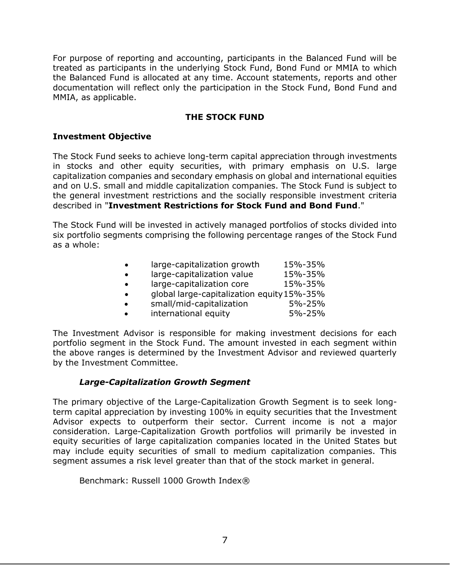For purpose of reporting and accounting, participants in the Balanced Fund will be treated as participants in the underlying Stock Fund, Bond Fund or MMIA to which the Balanced Fund is allocated at any time. Account statements, reports and other documentation will reflect only the participation in the Stock Fund, Bond Fund and MMIA, as applicable.

## **THE STOCK FUND**

#### <span id="page-10-0"></span>**Investment Objective**

The Stock Fund seeks to achieve long-term capital appreciation through investments in stocks and other equity securities, with primary emphasis on U.S. large capitalization companies and secondary emphasis on global and international equities and on U.S. small and middle capitalization companies. The Stock Fund is subject to the general investment restrictions and the socially responsible investment criteria described in "**Investment Restrictions for Stock Fund and Bond Fund**."

The Stock Fund will be invested in actively managed portfolios of stocks divided into six portfolio segments comprising the following percentage ranges of the Stock Fund as a whole:

| large-capitalization growth                | 15%-35% |
|--------------------------------------------|---------|
| large-capitalization value                 | 15%-35% |
| large-capitalization core                  | 15%-35% |
| global large-capitalization equity 15%-35% |         |
| small/mid-capitalization                   | 5%-25%  |
| international equity                       | 5%-25%  |

The Investment Advisor is responsible for making investment decisions for each portfolio segment in the Stock Fund. The amount invested in each segment within the above ranges is determined by the Investment Advisor and reviewed quarterly by the Investment Committee.

## *Large-Capitalization Growth Segment*

The primary objective of the Large-Capitalization Growth Segment is to seek longterm capital appreciation by investing 100% in equity securities that the Investment Advisor expects to outperform their sector. Current income is not a major consideration. Large-Capitalization Growth portfolios will primarily be invested in equity securities of large capitalization companies located in the United States but may include equity securities of small to medium capitalization companies. This segment assumes a risk level greater than that of the stock market in general.

Benchmark: Russell 1000 Growth Index®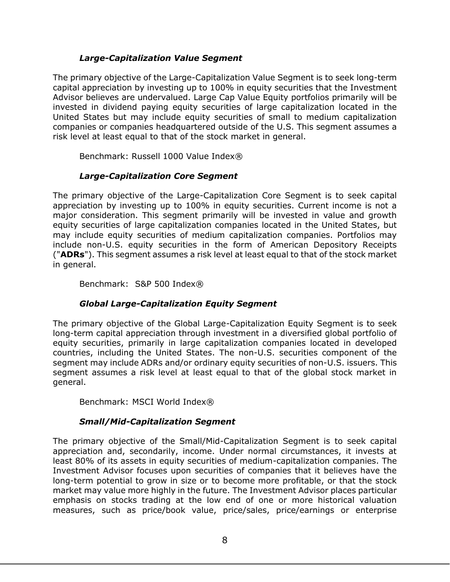## *Large-Capitalization Value Segment*

The primary objective of the Large-Capitalization Value Segment is to seek long-term capital appreciation by investing up to 100% in equity securities that the Investment Advisor believes are undervalued. Large Cap Value Equity portfolios primarily will be invested in dividend paying equity securities of large capitalization located in the United States but may include equity securities of small to medium capitalization companies or companies headquartered outside of the U.S. This segment assumes a risk level at least equal to that of the stock market in general.

Benchmark: Russell 1000 Value Index®

## *Large-Capitalization Core Segment*

The primary objective of the Large-Capitalization Core Segment is to seek capital appreciation by investing up to 100% in equity securities. Current income is not a major consideration. This segment primarily will be invested in value and growth equity securities of large capitalization companies located in the United States, but may include equity securities of medium capitalization companies. Portfolios may include non-U.S. equity securities in the form of American Depository Receipts ("**ADRs**"). This segment assumes a risk level at least equal to that of the stock market in general.

Benchmark: S&P 500 Index®

## *Global Large-Capitalization Equity Segment*

The primary objective of the Global Large-Capitalization Equity Segment is to seek long-term capital appreciation through investment in a diversified global portfolio of equity securities, primarily in large capitalization companies located in developed countries, including the United States. The non-U.S. securities component of the segment may include ADRs and/or ordinary equity securities of non-U.S. issuers. This segment assumes a risk level at least equal to that of the global stock market in general.

Benchmark: MSCI World Index®

## *Small/Mid-Capitalization Segment*

The primary objective of the Small/Mid-Capitalization Segment is to seek capital appreciation and, secondarily, income. Under normal circumstances, it invests at least 80% of its assets in equity securities of medium-capitalization companies. The Investment Advisor focuses upon securities of companies that it believes have the long-term potential to grow in size or to become more profitable, or that the stock market may value more highly in the future. The Investment Advisor places particular emphasis on stocks trading at the low end of one or more historical valuation measures, such as price/book value, price/sales, price/earnings or enterprise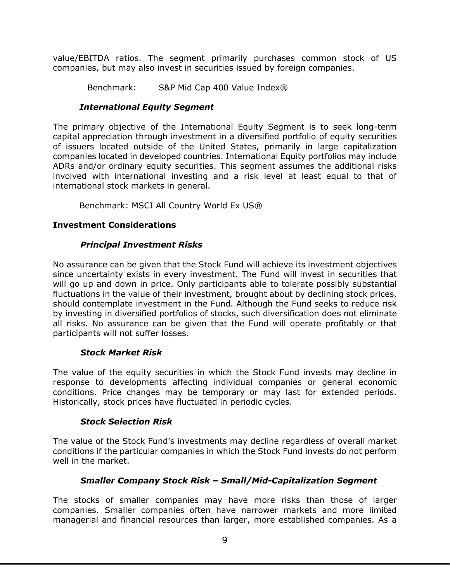value/EBITDA ratios. The segment primarily purchases common stock of US companies, but may also invest in securities issued by foreign companies.

Benchmark: S&P Mid Cap 400 Value Index®

## *International Equity Segment*

The primary objective of the International Equity Segment is to seek long-term capital appreciation through investment in a diversified portfolio of equity securities of issuers located outside of the United States, primarily in large capitalization companies located in developed countries. International Equity portfolios may include ADRs and/or ordinary equity securities. This segment assumes the additional risks involved with international investing and a risk level at least equal to that of international stock markets in general.

Benchmark: MSCI All Country World Ex US®

## **Investment Considerations**

## *Principal Investment Risks*

No assurance can be given that the Stock Fund will achieve its investment objectives since uncertainty exists in every investment. The Fund will invest in securities that will go up and down in price. Only participants able to tolerate possibly substantial fluctuations in the value of their investment, brought about by declining stock prices, should contemplate investment in the Fund. Although the Fund seeks to reduce risk by investing in diversified portfolios of stocks, such diversification does not eliminate all risks. No assurance can be given that the Fund will operate profitably or that participants will not suffer losses.

## *Stock Market Risk*

The value of the equity securities in which the Stock Fund invests may decline in response to developments affecting individual companies or general economic conditions. Price changes may be temporary or may last for extended periods. Historically, stock prices have fluctuated in periodic cycles.

## *Stock Selection Risk*

The value of the Stock Fund's investments may decline regardless of overall market conditions if the particular companies in which the Stock Fund invests do not perform well in the market.

## *Smaller Company Stock Risk – Small/Mid-Capitalization Segment*

The stocks of smaller companies may have more risks than those of larger companies. Smaller companies often have narrower markets and more limited managerial and financial resources than larger, more established companies. As a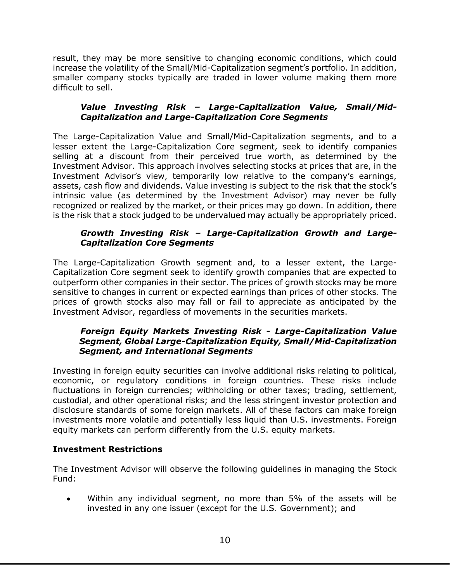result, they may be more sensitive to changing economic conditions, which could increase the volatility of the Small/Mid-Capitalization segment's portfolio. In addition, smaller company stocks typically are traded in lower volume making them more difficult to sell.

## *Value Investing Risk – Large-Capitalization Value, Small/Mid-Capitalization and Large-Capitalization Core Segments*

The Large-Capitalization Value and Small/Mid-Capitalization segments, and to a lesser extent the Large-Capitalization Core segment, seek to identify companies selling at a discount from their perceived true worth, as determined by the Investment Advisor. This approach involves selecting stocks at prices that are, in the Investment Advisor's view, temporarily low relative to the company's earnings, assets, cash flow and dividends. Value investing is subject to the risk that the stock's intrinsic value (as determined by the Investment Advisor) may never be fully recognized or realized by the market, or their prices may go down. In addition, there is the risk that a stock judged to be undervalued may actually be appropriately priced.

## *Growth Investing Risk – Large-Capitalization Growth and Large-Capitalization Core Segments*

The Large-Capitalization Growth segment and, to a lesser extent, the Large-Capitalization Core segment seek to identify growth companies that are expected to outperform other companies in their sector. The prices of growth stocks may be more sensitive to changes in current or expected earnings than prices of other stocks. The prices of growth stocks also may fall or fail to appreciate as anticipated by the Investment Advisor, regardless of movements in the securities markets.

## *Foreign Equity Markets Investing Risk - Large-Capitalization Value Segment, Global Large-Capitalization Equity, Small/Mid-Capitalization Segment, and International Segments*

Investing in foreign equity securities can involve additional risks relating to political, economic, or regulatory conditions in foreign countries. These risks include fluctuations in foreign currencies; withholding or other taxes; trading, settlement, custodial, and other operational risks; and the less stringent investor protection and disclosure standards of some foreign markets. All of these factors can make foreign investments more volatile and potentially less liquid than U.S. investments. Foreign equity markets can perform differently from the U.S. equity markets.

## **Investment Restrictions**

The Investment Advisor will observe the following guidelines in managing the Stock Fund:

• Within any individual segment, no more than 5% of the assets will be invested in any one issuer (except for the U.S. Government); and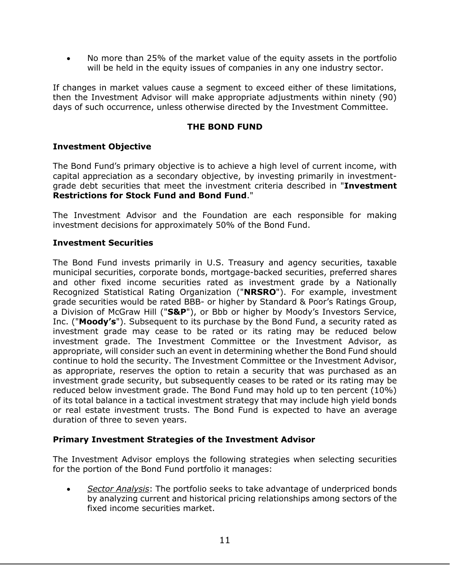• No more than 25% of the market value of the equity assets in the portfolio will be held in the equity issues of companies in any one industry sector.

If changes in market values cause a segment to exceed either of these limitations, then the Investment Advisor will make appropriate adjustments within ninety (90) days of such occurrence, unless otherwise directed by the Investment Committee.

## **THE BOND FUND**

#### <span id="page-14-0"></span>**Investment Objective**

The Bond Fund's primary objective is to achieve a high level of current income, with capital appreciation as a secondary objective, by investing primarily in investmentgrade debt securities that meet the investment criteria described in "**Investment Restrictions for Stock Fund and Bond Fund**."

The Investment Advisor and the Foundation are each responsible for making investment decisions for approximately 50% of the Bond Fund.

#### **Investment Securities**

The Bond Fund invests primarily in U.S. Treasury and agency securities, taxable municipal securities, corporate bonds, mortgage-backed securities, preferred shares and other fixed income securities rated as investment grade by a Nationally Recognized Statistical Rating Organization ("**NRSRO**"). For example, investment grade securities would be rated BBB- or higher by Standard & Poor's Ratings Group, a Division of McGraw Hill ("**S&P**"), or Bbb or higher by Moody's Investors Service, Inc. ("**Moody's**"). Subsequent to its purchase by the Bond Fund, a security rated as investment grade may cease to be rated or its rating may be reduced below investment grade. The Investment Committee or the Investment Advisor, as appropriate, will consider such an event in determining whether the Bond Fund should continue to hold the security. The Investment Committee or the Investment Advisor, as appropriate, reserves the option to retain a security that was purchased as an investment grade security, but subsequently ceases to be rated or its rating may be reduced below investment grade. The Bond Fund may hold up to ten percent (10%) of its total balance in a tactical investment strategy that may include high yield bonds or real estate investment trusts. The Bond Fund is expected to have an average duration of three to seven years.

#### **Primary Investment Strategies of the Investment Advisor**

The Investment Advisor employs the following strategies when selecting securities for the portion of the Bond Fund portfolio it manages:

• *Sector Analysis*: The portfolio seeks to take advantage of underpriced bonds by analyzing current and historical pricing relationships among sectors of the fixed income securities market.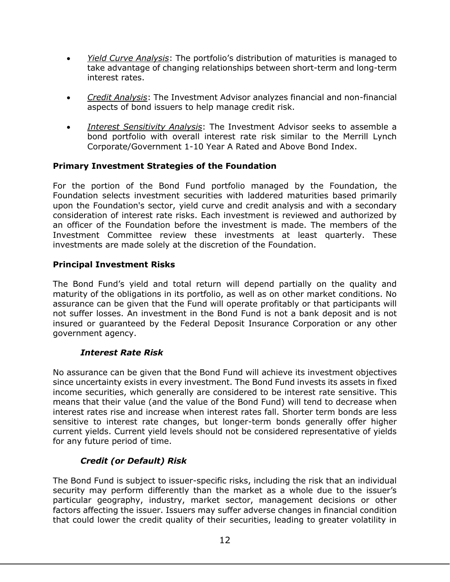- *Yield Curve Analysis*: The portfolio's distribution of maturities is managed to take advantage of changing relationships between short-term and long-term interest rates.
- *Credit Analysis*: The Investment Advisor analyzes financial and non-financial aspects of bond issuers to help manage credit risk.
- *Interest Sensitivity Analysis*: The Investment Advisor seeks to assemble a bond portfolio with overall interest rate risk similar to the Merrill Lynch Corporate/Government 1-10 Year A Rated and Above Bond Index.

## **Primary Investment Strategies of the Foundation**

For the portion of the Bond Fund portfolio managed by the Foundation, the Foundation selects investment securities with laddered maturities based primarily upon the Foundation's sector, yield curve and credit analysis and with a secondary consideration of interest rate risks. Each investment is reviewed and authorized by an officer of the Foundation before the investment is made. The members of the Investment Committee review these investments at least quarterly. These investments are made solely at the discretion of the Foundation.

## **Principal Investment Risks**

The Bond Fund's yield and total return will depend partially on the quality and maturity of the obligations in its portfolio, as well as on other market conditions. No assurance can be given that the Fund will operate profitably or that participants will not suffer losses. An investment in the Bond Fund is not a bank deposit and is not insured or guaranteed by the Federal Deposit Insurance Corporation or any other government agency.

## *Interest Rate Risk*

No assurance can be given that the Bond Fund will achieve its investment objectives since uncertainty exists in every investment. The Bond Fund invests its assets in fixed income securities, which generally are considered to be interest rate sensitive. This means that their value (and the value of the Bond Fund) will tend to decrease when interest rates rise and increase when interest rates fall. Shorter term bonds are less sensitive to interest rate changes, but longer-term bonds generally offer higher current yields. Current yield levels should not be considered representative of yields for any future period of time.

## *Credit (or Default) Risk*

The Bond Fund is subject to issuer-specific risks, including the risk that an individual security may perform differently than the market as a whole due to the issuer's particular geography, industry, market sector, management decisions or other factors affecting the issuer. Issuers may suffer adverse changes in financial condition that could lower the credit quality of their securities, leading to greater volatility in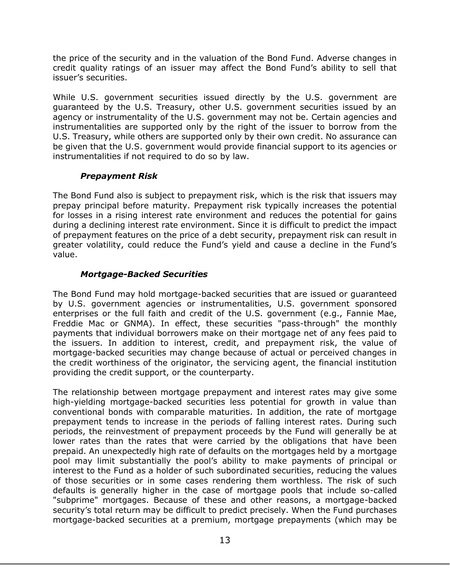the price of the security and in the valuation of the Bond Fund. Adverse changes in credit quality ratings of an issuer may affect the Bond Fund's ability to sell that issuer's securities.

While U.S. government securities issued directly by the U.S. government are guaranteed by the U.S. Treasury, other U.S. government securities issued by an agency or instrumentality of the U.S. government may not be. Certain agencies and instrumentalities are supported only by the right of the issuer to borrow from the U.S. Treasury, while others are supported only by their own credit. No assurance can be given that the U.S. government would provide financial support to its agencies or instrumentalities if not required to do so by law.

## *Prepayment Risk*

The Bond Fund also is subject to prepayment risk, which is the risk that issuers may prepay principal before maturity. Prepayment risk typically increases the potential for losses in a rising interest rate environment and reduces the potential for gains during a declining interest rate environment. Since it is difficult to predict the impact of prepayment features on the price of a debt security, prepayment risk can result in greater volatility, could reduce the Fund's yield and cause a decline in the Fund's value.

## *Mortgage-Backed Securities*

The Bond Fund may hold mortgage-backed securities that are issued or guaranteed by U.S. government agencies or instrumentalities, U.S. government sponsored enterprises or the full faith and credit of the U.S. government (e.g., Fannie Mae, Freddie Mac or GNMA). In effect, these securities "pass-through" the monthly payments that individual borrowers make on their mortgage net of any fees paid to the issuers. In addition to interest, credit, and prepayment risk, the value of mortgage-backed securities may change because of actual or perceived changes in the credit worthiness of the originator, the servicing agent, the financial institution providing the credit support, or the counterparty.

The relationship between mortgage prepayment and interest rates may give some high-yielding mortgage-backed securities less potential for growth in value than conventional bonds with comparable maturities. In addition, the rate of mortgage prepayment tends to increase in the periods of falling interest rates. During such periods, the reinvestment of prepayment proceeds by the Fund will generally be at lower rates than the rates that were carried by the obligations that have been prepaid. An unexpectedly high rate of defaults on the mortgages held by a mortgage pool may limit substantially the pool's ability to make payments of principal or interest to the Fund as a holder of such subordinated securities, reducing the values of those securities or in some cases rendering them worthless. The risk of such defaults is generally higher in the case of mortgage pools that include so-called "subprime" mortgages. Because of these and other reasons, a mortgage-backed security's total return may be difficult to predict precisely. When the Fund purchases mortgage-backed securities at a premium, mortgage prepayments (which may be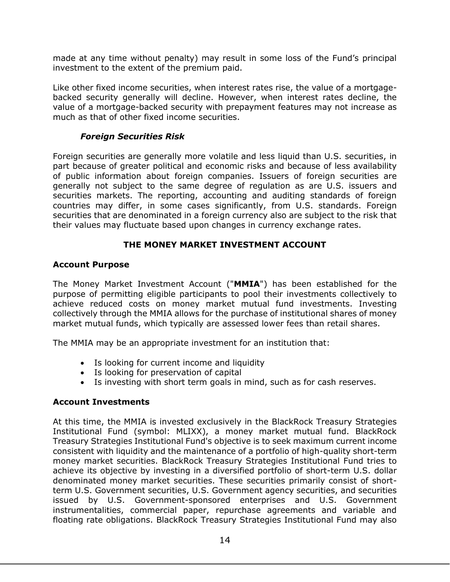made at any time without penalty) may result in some loss of the Fund's principal investment to the extent of the premium paid.

Like other fixed income securities, when interest rates rise, the value of a mortgagebacked security generally will decline. However, when interest rates decline, the value of a mortgage-backed security with prepayment features may not increase as much as that of other fixed income securities.

## *Foreign Securities Risk*

Foreign securities are generally more volatile and less liquid than U.S. securities, in part because of greater political and economic risks and because of less availability of public information about foreign companies. Issuers of foreign securities are generally not subject to the same degree of regulation as are U.S. issuers and securities markets. The reporting, accounting and auditing standards of foreign countries may differ, in some cases significantly, from U.S. standards. Foreign securities that are denominated in a foreign currency also are subject to the risk that their values may fluctuate based upon changes in currency exchange rates.

## **THE MONEY MARKET INVESTMENT ACCOUNT**

#### <span id="page-17-0"></span>**Account Purpose**

The Money Market Investment Account ("**MMIA**") has been established for the purpose of permitting eligible participants to pool their investments collectively to achieve reduced costs on money market mutual fund investments. Investing collectively through the MMIA allows for the purchase of institutional shares of money market mutual funds, which typically are assessed lower fees than retail shares.

The MMIA may be an appropriate investment for an institution that:

- Is looking for current income and liquidity
- Is looking for preservation of capital
- Is investing with short term goals in mind, such as for cash reserves.

## **Account Investments**

At this time, the MMIA is invested exclusively in the BlackRock Treasury Strategies Institutional Fund (symbol: MLIXX), a money market mutual fund. BlackRock Treasury Strategies Institutional Fund's objective is to seek maximum current income consistent with liquidity and the maintenance of a portfolio of high-quality short-term money market securities. BlackRock Treasury Strategies Institutional Fund tries to achieve its objective by investing in a diversified portfolio of short-term U.S. dollar denominated money market securities. These securities primarily consist of shortterm U.S. Government securities, U.S. Government agency securities, and securities issued by U.S. Government-sponsored enterprises and U.S. Government instrumentalities, commercial paper, repurchase agreements and variable and floating rate obligations. BlackRock Treasury Strategies Institutional Fund may also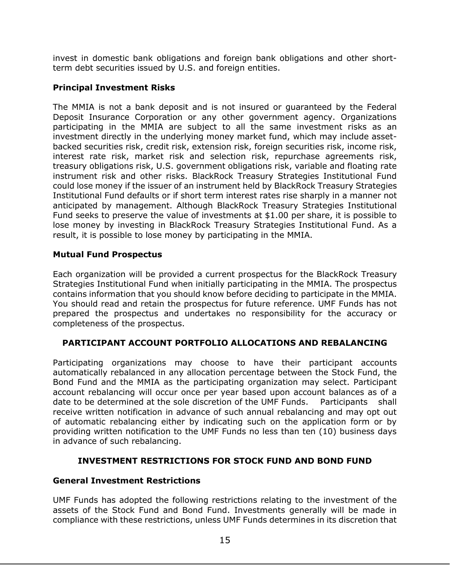invest in domestic bank obligations and foreign bank obligations and other shortterm debt securities issued by U.S. and foreign entities.

## **Principal Investment Risks**

The MMIA is not a bank deposit and is not insured or guaranteed by the Federal Deposit Insurance Corporation or any other government agency. Organizations participating in the MMIA are subject to all the same investment risks as an investment directly in the underlying money market fund, which may include assetbacked securities risk, credit risk, extension risk, foreign securities risk, income risk, interest rate risk, market risk and selection risk, repurchase agreements risk, treasury obligations risk, U.S. government obligations risk, variable and floating rate instrument risk and other risks. BlackRock Treasury Strategies Institutional Fund could lose money if the issuer of an instrument held by BlackRock Treasury Strategies Institutional Fund defaults or if short term interest rates rise sharply in a manner not anticipated by management. Although BlackRock Treasury Strategies Institutional Fund seeks to preserve the value of investments at \$1.00 per share, it is possible to lose money by investing in BlackRock Treasury Strategies Institutional Fund. As a result, it is possible to lose money by participating in the MMIA.

## **Mutual Fund Prospectus**

Each organization will be provided a current prospectus for the BlackRock Treasury Strategies Institutional Fund when initially participating in the MMIA. The prospectus contains information that you should know before deciding to participate in the MMIA. You should read and retain the prospectus for future reference. UMF Funds has not prepared the prospectus and undertakes no responsibility for the accuracy or completeness of the prospectus.

## <span id="page-18-0"></span>**PARTICIPANT ACCOUNT PORTFOLIO ALLOCATIONS AND REBALANCING**

Participating organizations may choose to have their participant accounts automatically rebalanced in any allocation percentage between the Stock Fund, the Bond Fund and the MMIA as the participating organization may select. Participant account rebalancing will occur once per year based upon account balances as of a date to be determined at the sole discretion of the UMF Funds. Participants shall receive written notification in advance of such annual rebalancing and may opt out of automatic rebalancing either by indicating such on the application form or by providing written notification to the UMF Funds no less than ten (10) business days in advance of such rebalancing.

## **INVESTMENT RESTRICTIONS FOR STOCK FUND AND BOND FUND**

## <span id="page-18-1"></span>**General Investment Restrictions**

UMF Funds has adopted the following restrictions relating to the investment of the assets of the Stock Fund and Bond Fund. Investments generally will be made in compliance with these restrictions, unless UMF Funds determines in its discretion that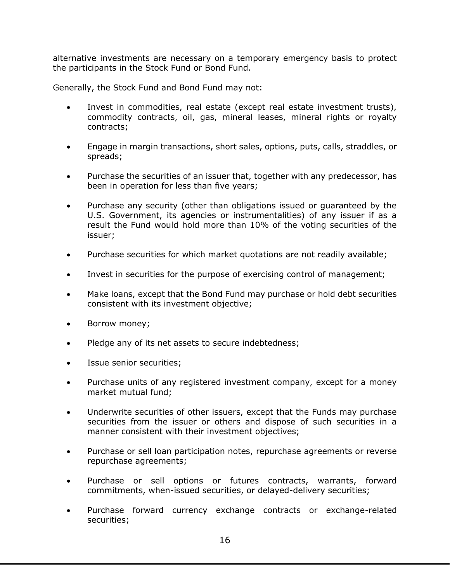alternative investments are necessary on a temporary emergency basis to protect the participants in the Stock Fund or Bond Fund.

Generally, the Stock Fund and Bond Fund may not:

- Invest in commodities, real estate (except real estate investment trusts), commodity contracts, oil, gas, mineral leases, mineral rights or royalty contracts;
- Engage in margin transactions, short sales, options, puts, calls, straddles, or spreads;
- Purchase the securities of an issuer that, together with any predecessor, has been in operation for less than five years;
- Purchase any security (other than obligations issued or guaranteed by the U.S. Government, its agencies or instrumentalities) of any issuer if as a result the Fund would hold more than 10% of the voting securities of the issuer;
- Purchase securities for which market quotations are not readily available;
- Invest in securities for the purpose of exercising control of management;
- Make loans, except that the Bond Fund may purchase or hold debt securities consistent with its investment objective;
- Borrow money;
- Pledge any of its net assets to secure indebtedness;
- Issue senior securities;
- Purchase units of any registered investment company, except for a money market mutual fund;
- Underwrite securities of other issuers, except that the Funds may purchase securities from the issuer or others and dispose of such securities in a manner consistent with their investment objectives;
- Purchase or sell loan participation notes, repurchase agreements or reverse repurchase agreements;
- Purchase or sell options or futures contracts, warrants, forward commitments, when-issued securities, or delayed-delivery securities;
- Purchase forward currency exchange contracts or exchange-related securities;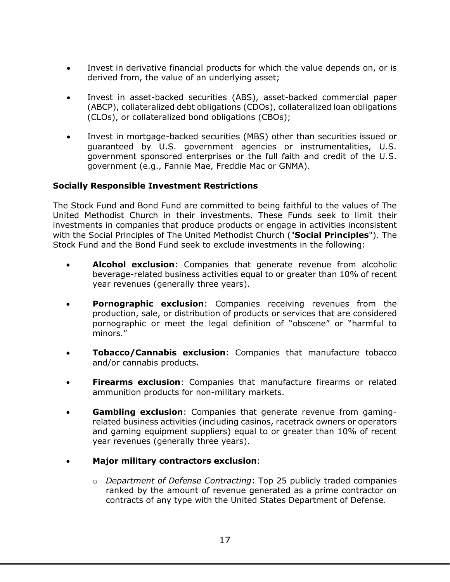- Invest in derivative financial products for which the value depends on, or is derived from, the value of an underlying asset;
- Invest in asset-backed securities (ABS), asset-backed commercial paper (ABCP), collateralized debt obligations (CDOs), collateralized loan obligations (CLOs), or collateralized bond obligations (CBOs);
- Invest in mortgage-backed securities (MBS) other than securities issued or guaranteed by U.S. government agencies or instrumentalities, U.S. government sponsored enterprises or the full faith and credit of the U.S. government (e.g., Fannie Mae, Freddie Mac or GNMA).

## **Socially Responsible Investment Restrictions**

The Stock Fund and Bond Fund are committed to being faithful to the values of The United Methodist Church in their investments. These Funds seek to limit their investments in companies that produce products or engage in activities inconsistent with the Social Principles of The United Methodist Church ("**Social Principles**"). The Stock Fund and the Bond Fund seek to exclude investments in the following:

- **Alcohol exclusion**: Companies that generate revenue from alcoholic beverage-related business activities equal to or greater than 10% of recent year revenues (generally three years).
- **Pornographic exclusion**: Companies receiving revenues from the production, sale, or distribution of products or services that are considered pornographic or meet the legal definition of "obscene" or "harmful to minors."
- **Tobacco/Cannabis exclusion**: Companies that manufacture tobacco and/or cannabis products.
- **Firearms exclusion**: Companies that manufacture firearms or related ammunition products for non-military markets.
- **Gambling exclusion**: Companies that generate revenue from gamingrelated business activities (including casinos, racetrack owners or operators and gaming equipment suppliers) equal to or greater than 10% of recent year revenues (generally three years).
- **Major military contractors exclusion**:
	- o *Department of Defense Contracting*: Top 25 publicly traded companies ranked by the amount of revenue generated as a prime contractor on contracts of any type with the United States Department of Defense.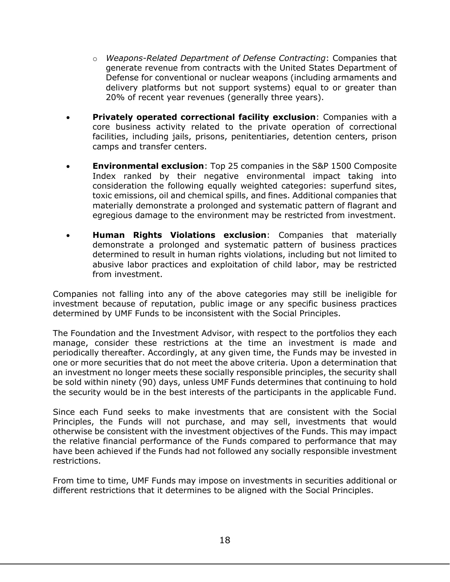- o *Weapons-Related Department of Defense Contracting*: Companies that generate revenue from contracts with the United States Department of Defense for conventional or nuclear weapons (including armaments and delivery platforms but not support systems) equal to or greater than 20% of recent year revenues (generally three years).
- **Privately operated correctional facility exclusion**: Companies with a core business activity related to the private operation of correctional facilities, including jails, prisons, penitentiaries, detention centers, prison camps and transfer centers.
- **Environmental exclusion**: Top 25 companies in the S&P 1500 Composite Index ranked by their negative environmental impact taking into consideration the following equally weighted categories: superfund sites, toxic emissions, oil and chemical spills, and fines. Additional companies that materially demonstrate a prolonged and systematic pattern of flagrant and egregious damage to the environment may be restricted from investment.
- **Human Rights Violations exclusion**: Companies that materially demonstrate a prolonged and systematic pattern of business practices determined to result in human rights violations, including but not limited to abusive labor practices and exploitation of child labor, may be restricted from investment.

Companies not falling into any of the above categories may still be ineligible for investment because of reputation, public image or any specific business practices determined by UMF Funds to be inconsistent with the Social Principles.

The Foundation and the Investment Advisor, with respect to the portfolios they each manage, consider these restrictions at the time an investment is made and periodically thereafter. Accordingly, at any given time, the Funds may be invested in one or more securities that do not meet the above criteria. Upon a determination that an investment no longer meets these socially responsible principles, the security shall be sold within ninety (90) days, unless UMF Funds determines that continuing to hold the security would be in the best interests of the participants in the applicable Fund.

Since each Fund seeks to make investments that are consistent with the Social Principles, the Funds will not purchase, and may sell, investments that would otherwise be consistent with the investment objectives of the Funds. This may impact the relative financial performance of the Funds compared to performance that may have been achieved if the Funds had not followed any socially responsible investment restrictions.

From time to time, UMF Funds may impose on investments in securities additional or different restrictions that it determines to be aligned with the Social Principles.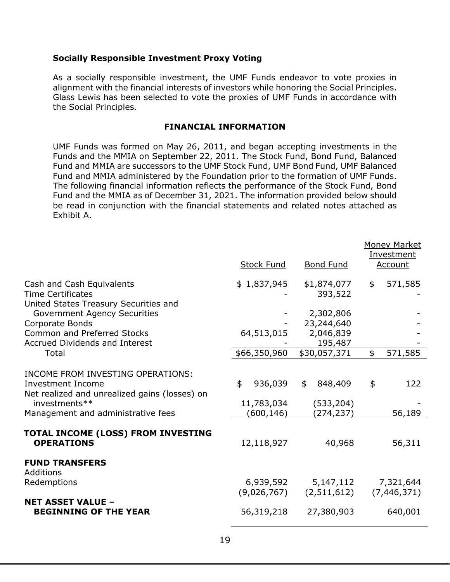#### **Socially Responsible Investment Proxy Voting**

As a socially responsible investment, the UMF Funds endeavor to vote proxies in alignment with the financial interests of investors while honoring the Social Principles. Glass Lewis has been selected to vote the proxies of UMF Funds in accordance with the Social Principles.

#### **FINANCIAL INFORMATION**

<span id="page-22-0"></span>UMF Funds was formed on May 26, 2011, and began accepting investments in the Funds and the MMIA on September 22, 2011. The Stock Fund, Bond Fund, Balanced Fund and MMIA are successors to the UMF Stock Fund, UMF Bond Fund, UMF Balanced Fund and MMIA administered by the Foundation prior to the formation of UMF Funds. The following financial information reflects the performance of the Stock Fund, Bond Fund and the MMIA as of December 31, 2021. The information provided below should be read in conjunction with the financial statements and related notes attached as Exhibit A.

|                                                                                                                                                                | <b>Stock Fund</b>                         | <b>Bond Fund</b>                          | <b>Money Market</b><br>Investment<br>Account |
|----------------------------------------------------------------------------------------------------------------------------------------------------------------|-------------------------------------------|-------------------------------------------|----------------------------------------------|
| Cash and Cash Equivalents                                                                                                                                      | \$1,837,945                               | \$1,874,077                               | 571,585<br>\$                                |
| <b>Time Certificates</b>                                                                                                                                       |                                           | 393,522                                   |                                              |
| United States Treasury Securities and                                                                                                                          |                                           |                                           |                                              |
| <b>Government Agency Securities</b><br>Corporate Bonds                                                                                                         |                                           | 2,302,806<br>23,244,640                   |                                              |
| <b>Common and Preferred Stocks</b>                                                                                                                             | 64,513,015                                | 2,046,839                                 |                                              |
| <b>Accrued Dividends and Interest</b>                                                                                                                          |                                           | 195,487                                   |                                              |
| Total                                                                                                                                                          | \$66,350,960                              | \$30,057,371                              | \$<br>571,585                                |
| INCOME FROM INVESTING OPERATIONS:<br>Investment Income<br>Net realized and unrealized gains (losses) on<br>investments**<br>Management and administrative fees | \$<br>936,039<br>11,783,034<br>(600, 146) | 848,409<br>\$<br>(533, 204)<br>(274, 237) | \$<br>122<br>56,189                          |
| TOTAL INCOME (LOSS) FROM INVESTING<br><b>OPERATIONS</b>                                                                                                        | 12,118,927                                | 40,968                                    | 56,311                                       |
| <b>FUND TRANSFERS</b><br>Additions                                                                                                                             |                                           |                                           |                                              |
| Redemptions                                                                                                                                                    | 6,939,592<br>(9,026,767)                  | 5,147,112<br>(2,511,612)                  | 7,321,644<br>(7, 446, 371)                   |
| <b>NET ASSET VALUE -</b><br><b>BEGINNING OF THE YEAR</b>                                                                                                       | 56,319,218                                | 27,380,903                                | 640,001                                      |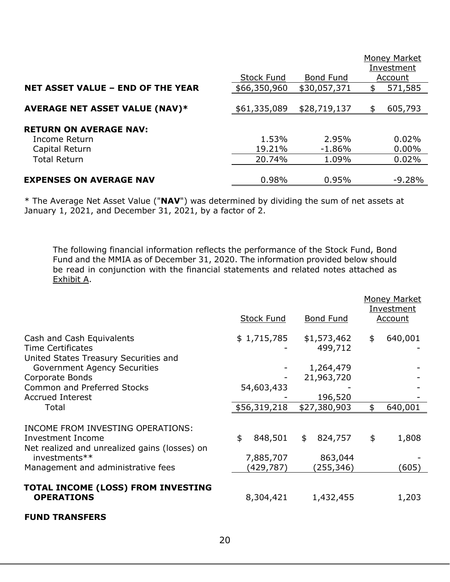|                                          | <b>Stock Fund</b> | <b>Bond Fund</b> | Money Market<br>Investment<br>Account |
|------------------------------------------|-------------------|------------------|---------------------------------------|
| <b>NET ASSET VALUE - END OF THE YEAR</b> | \$66,350,960      | \$30,057,371     | \$<br>571,585                         |
| <b>AVERAGE NET ASSET VALUE (NAV)*</b>    | \$61,335,089      | \$28,719,137     | \$<br>605,793                         |
| <b>RETURN ON AVERAGE NAV:</b>            |                   |                  |                                       |
| Income Return                            | 1.53%             | 2.95%            | 0.02%                                 |
| Capital Return                           | 19.21%            | $-1.86%$         | $0.00\%$                              |
| <b>Total Return</b>                      | 20.74%            | 1.09%            | 0.02%                                 |
| <b>EXPENSES ON AVERAGE NAV</b>           | 0.98%             | 0.95%            | $-9.28%$                              |

\* The Average Net Asset Value ("**NAV**") was determined by dividing the sum of net assets at January 1, 2021, and December 31, 2021, by a factor of 2.

The following financial information reflects the performance of the Stock Fund, Bond Fund and the MMIA as of December 31, 2020. The information provided below should be read in conjunction with the financial statements and related notes attached as Exhibit A.

|                                                                                                                          | <b>Stock Fund</b>          | Bond Fund                | <b>Money Market</b><br>Investment<br>Account |
|--------------------------------------------------------------------------------------------------------------------------|----------------------------|--------------------------|----------------------------------------------|
| Cash and Cash Equivalents<br><b>Time Certificates</b><br>United States Treasury Securities and                           | \$1,715,785                | \$1,573,462<br>499,712   | \$<br>640,001                                |
| <b>Government Agency Securities</b>                                                                                      |                            | 1,264,479                |                                              |
| Corporate Bonds                                                                                                          |                            | 21,963,720               |                                              |
| <b>Common and Preferred Stocks</b>                                                                                       | 54,603,433                 |                          |                                              |
| <b>Accrued Interest</b>                                                                                                  |                            | 196,520                  |                                              |
| Total                                                                                                                    | \$56,319,218               | \$27,380,903             | \$<br>640,001                                |
| INCOME FROM INVESTING OPERATIONS:<br>Investment Income<br>Net realized and unrealized gains (losses) on<br>investments** | \$<br>848,501<br>7,885,707 | \$<br>824,757<br>863,044 | \$<br>1,808                                  |
| Management and administrative fees                                                                                       | (429, 787)                 | (255,346)                | (605)                                        |
| TOTAL INCOME (LOSS) FROM INVESTING<br><b>OPERATIONS</b>                                                                  | 8,304,421                  | 1,432,455                | 1,203                                        |

#### **FUND TRANSFERS**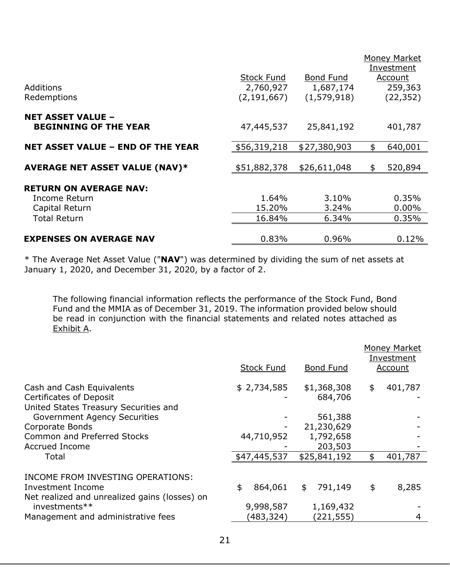| Additions                                                | <b>Stock Fund</b><br>2,760,927 | <b>Bond Fund</b><br>1,687,174 | Money Market<br>Investment<br>Account<br>259,363 |
|----------------------------------------------------------|--------------------------------|-------------------------------|--------------------------------------------------|
| Redemptions                                              | (2, 191, 667)                  | (1,579,918)                   | (22, 352)                                        |
| <b>NET ASSET VALUE -</b><br><b>BEGINNING OF THE YEAR</b> | 47,445,537                     | 25,841,192                    | 401,787                                          |
| <b>NET ASSET VALUE - END OF THE YEAR</b>                 | \$56,319,218                   | \$27,380,903                  | \$<br>640,001                                    |
| <b>AVERAGE NET ASSET VALUE (NAV)*</b>                    | \$51,882,378                   | \$26,611,048                  | \$<br>520,894                                    |
| <b>RETURN ON AVERAGE NAV:</b>                            |                                |                               |                                                  |
| Income Return                                            | 1.64%                          | 3.10%                         | 0.35%                                            |
| Capital Return                                           | 15.20%                         | 3.24%                         | $0.00\%$                                         |
| <b>Total Return</b>                                      | 16.84%                         | 6.34%                         | 0.35%                                            |
| <b>EXPENSES ON AVERAGE NAV</b>                           | 0.83%                          | 0.96%                         | 0.12%                                            |

\* The Average Net Asset Value ("**NAV**") was determined by dividing the sum of net assets at January 1, 2020, and December 31, 2020, by a factor of 2.

The following financial information reflects the performance of the Stock Fund, Bond Fund and the MMIA as of December 31, 2019. The information provided below should be read in conjunction with the financial statements and related notes attached as Exhibit A.

|                                                                              | <b>Stock Fund</b>       | <b>Bond Fund</b>        | <b>Money Market</b><br>Investment<br><b>Account</b> |
|------------------------------------------------------------------------------|-------------------------|-------------------------|-----------------------------------------------------|
| Cash and Cash Equivalents                                                    | \$2,734,585             | \$1,368,308             | \$<br>401,787                                       |
| <b>Certificates of Deposit</b>                                               |                         | 684,706                 |                                                     |
| United States Treasury Securities and<br><b>Government Agency Securities</b> |                         | 561,388                 |                                                     |
| Corporate Bonds                                                              |                         | 21,230,629              |                                                     |
| <b>Common and Preferred Stocks</b>                                           | 44,710,952              | 1,792,658               |                                                     |
| Accrued Income                                                               |                         | 203,503                 |                                                     |
| Total                                                                        | \$47,445,537            | \$25,841,192            | 401,787                                             |
| INCOME FROM INVESTING OPERATIONS:<br>Investment Income                       | \$<br>864,061           | 791,149<br>\$           | \$<br>8,285                                         |
| Net realized and unrealized gains (losses) on                                |                         |                         |                                                     |
| investments**<br>Management and administrative fees                          | 9,998,587<br>(483, 324) | 1,169,432<br>(221, 555) | 4                                                   |
|                                                                              |                         |                         |                                                     |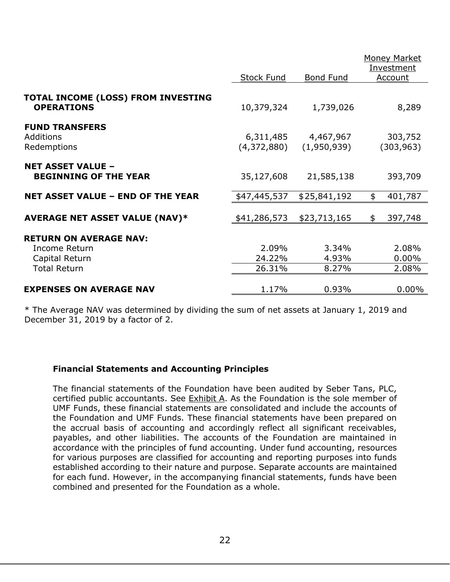|                                                          |                          |                          | <b>Money Market</b>   |
|----------------------------------------------------------|--------------------------|--------------------------|-----------------------|
|                                                          |                          |                          | Investment            |
|                                                          | <b>Stock Fund</b>        | <b>Bond Fund</b>         | Account               |
| TOTAL INCOME (LOSS) FROM INVESTING<br><b>OPERATIONS</b>  | 10,379,324               | 1,739,026                | 8,289                 |
| <b>FUND TRANSFERS</b><br>Additions<br>Redemptions        | 6,311,485<br>(4,372,880) | 4,467,967<br>(1,950,939) | 303,752<br>(303, 963) |
| <b>NET ASSET VALUE -</b><br><b>BEGINNING OF THE YEAR</b> | 35,127,608               | 21,585,138               | 393,709               |
| <b>NET ASSET VALUE - END OF THE YEAR</b>                 | \$47,445,537             | \$25,841,192             | 401,787<br>\$         |
| <b>AVERAGE NET ASSET VALUE (NAV)*</b>                    | \$41,286,573             | \$23,713,165             | 397,748<br>\$         |
| <b>RETURN ON AVERAGE NAV:</b>                            |                          |                          |                       |
| Income Return<br>Capital Return                          | 2.09%<br>24.22%          | 3.34%<br>4.93%           | 2.08%<br>$0.00\%$     |
| <b>Total Return</b>                                      | 26.31%                   | 8.27%                    | 2.08%                 |
| <b>EXPENSES ON AVERAGE NAV</b>                           | 1.17%                    | 0.93%                    | $0.00\%$              |

\* The Average NAV was determined by dividing the sum of net assets at January 1, 2019 and December 31, 2019 by a factor of 2.

## **Financial Statements and Accounting Principles**

The financial statements of the Foundation have been audited by Seber Tans, PLC, certified public accountants. See Exhibit A. As the Foundation is the sole member of UMF Funds, these financial statements are consolidated and include the accounts of the Foundation and UMF Funds. These financial statements have been prepared on the accrual basis of accounting and accordingly reflect all significant receivables, payables, and other liabilities. The accounts of the Foundation are maintained in accordance with the principles of fund accounting. Under fund accounting, resources for various purposes are classified for accounting and reporting purposes into funds established according to their nature and purpose. Separate accounts are maintained for each fund. However, in the accompanying financial statements, funds have been combined and presented for the Foundation as a whole.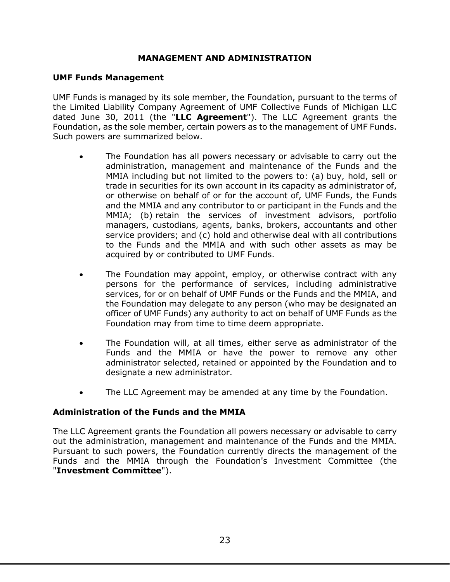## **MANAGEMENT AND ADMINISTRATION**

#### <span id="page-26-0"></span>**UMF Funds Management**

UMF Funds is managed by its sole member, the Foundation, pursuant to the terms of the Limited Liability Company Agreement of UMF Collective Funds of Michigan LLC dated June 30, 2011 (the "**LLC Agreement**"). The LLC Agreement grants the Foundation, as the sole member, certain powers as to the management of UMF Funds. Such powers are summarized below.

- The Foundation has all powers necessary or advisable to carry out the administration, management and maintenance of the Funds and the MMIA including but not limited to the powers to: (a) buy, hold, sell or trade in securities for its own account in its capacity as administrator of, or otherwise on behalf of or for the account of, UMF Funds, the Funds and the MMIA and any contributor to or participant in the Funds and the MMIA; (b) retain the services of investment advisors, portfolio managers, custodians, agents, banks, brokers, accountants and other service providers; and (c) hold and otherwise deal with all contributions to the Funds and the MMIA and with such other assets as may be acquired by or contributed to UMF Funds.
- The Foundation may appoint, employ, or otherwise contract with any persons for the performance of services, including administrative services, for or on behalf of UMF Funds or the Funds and the MMIA, and the Foundation may delegate to any person (who may be designated an officer of UMF Funds) any authority to act on behalf of UMF Funds as the Foundation may from time to time deem appropriate.
- The Foundation will, at all times, either serve as administrator of the Funds and the MMIA or have the power to remove any other administrator selected, retained or appointed by the Foundation and to designate a new administrator.
- The LLC Agreement may be amended at any time by the Foundation.

## **Administration of the Funds and the MMIA**

The LLC Agreement grants the Foundation all powers necessary or advisable to carry out the administration, management and maintenance of the Funds and the MMIA. Pursuant to such powers, the Foundation currently directs the management of the Funds and the MMIA through the Foundation's Investment Committee (the "**Investment Committee**").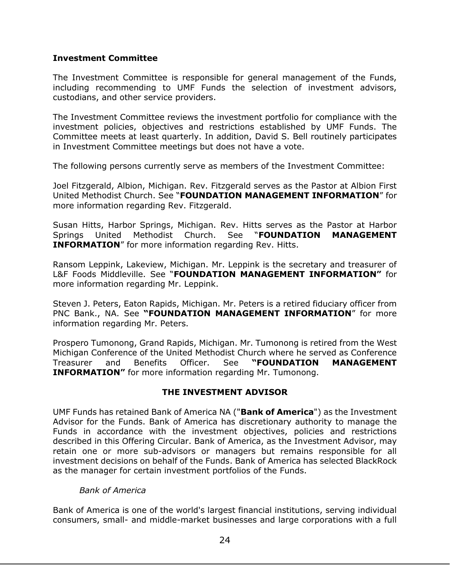#### **Investment Committee**

The Investment Committee is responsible for general management of the Funds, including recommending to UMF Funds the selection of investment advisors, custodians, and other service providers.

The Investment Committee reviews the investment portfolio for compliance with the investment policies, objectives and restrictions established by UMF Funds. The Committee meets at least quarterly. In addition, David S. Bell routinely participates in Investment Committee meetings but does not have a vote.

The following persons currently serve as members of the Investment Committee:

Joel Fitzgerald, Albion, Michigan. Rev. Fitzgerald serves as the Pastor at Albion First United Methodist Church. See "**FOUNDATION MANAGEMENT INFORMATION**" for more information regarding Rev. Fitzgerald.

Susan Hitts, Harbor Springs, Michigan. Rev. Hitts serves as the Pastor at Harbor Springs United Methodist Church. See "**FOUNDATION MANAGEMENT INFORMATION**" for more information regarding Rev. Hitts.

Ransom Leppink, Lakeview, Michigan. Mr. Leppink is the secretary and treasurer of L&F Foods Middleville. See "**FOUNDATION MANAGEMENT INFORMATION"** for more information regarding Mr. Leppink.

Steven J. Peters, Eaton Rapids, Michigan. Mr. Peters is a retired fiduciary officer from PNC Bank., NA. See **"FOUNDATION MANAGEMENT INFORMATION**" for more information regarding Mr. Peters.

Prospero Tumonong, Grand Rapids, Michigan. Mr. Tumonong is retired from the West Michigan Conference of the United Methodist Church where he served as Conference Treasurer and Benefits Officer. See **"FOUNDATION MANAGEMENT INFORMATION"** for more information regarding Mr. Tumonong.

## **THE INVESTMENT ADVISOR**

<span id="page-27-0"></span>UMF Funds has retained Bank of America NA ("**Bank of America**") as the Investment Advisor for the Funds. Bank of America has discretionary authority to manage the Funds in accordance with the investment objectives, policies and restrictions described in this Offering Circular. Bank of America, as the Investment Advisor, may retain one or more sub-advisors or managers but remains responsible for all investment decisions on behalf of the Funds. Bank of America has selected BlackRock as the manager for certain investment portfolios of the Funds.

#### *Bank of America*

Bank of America is one of the world's largest financial institutions, serving individual consumers, small- and middle-market businesses and large corporations with a full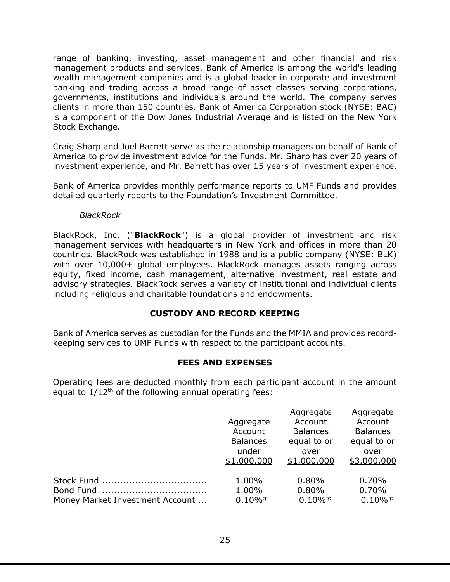range of banking, investing, asset management and other financial and risk management products and services. Bank of America is among the world's leading wealth management companies and is a global leader in corporate and investment banking and trading across a broad range of asset classes serving corporations, governments, institutions and individuals around the world. The company serves clients in more than 150 countries. Bank of America Corporation stock (NYSE: BAC) is a component of the Dow Jones Industrial Average and is listed on the New York Stock Exchange.

Craig Sharp and Joel Barrett serve as the relationship managers on behalf of Bank of America to provide investment advice for the Funds. Mr. Sharp has over 20 years of investment experience, and Mr. Barrett has over 15 years of investment experience.

Bank of America provides monthly performance reports to UMF Funds and provides detailed quarterly reports to the Foundation's Investment Committee.

#### *BlackRock*

BlackRock, Inc. ("**BlackRock**") is a global provider of investment and risk management services with headquarters in New York and offices in more than 20 countries. BlackRock was established in 1988 and is a public company (NYSE: BLK) with over 10,000+ global employees. BlackRock manages assets ranging across equity, fixed income, cash management, alternative investment, real estate and advisory strategies. BlackRock serves a variety of institutional and individual clients including religious and charitable foundations and endowments.

## **CUSTODY AND RECORD KEEPING**

<span id="page-28-0"></span>Bank of America serves as custodian for the Funds and the MMIA and provides recordkeeping services to UMF Funds with respect to the participant accounts.

## **FEES AND EXPENSES**

<span id="page-28-1"></span>Operating fees are deducted monthly from each participant account in the amount equal to  $1/12<sup>th</sup>$  of the following annual operating fees:

|                                 | Aggregate<br>Account | Aggregate<br>Account<br><b>Balances</b> | Aggregate<br>Account<br><b>Balances</b> |
|---------------------------------|----------------------|-----------------------------------------|-----------------------------------------|
|                                 | <b>Balances</b>      | equal to or                             | equal to or                             |
|                                 | under                | over                                    | over                                    |
|                                 | \$1,000,000          | \$1,000,000                             | \$3,000,000                             |
|                                 | 1.00%                | 0.80%                                   | 0.70%                                   |
|                                 | 1.00%                | 0.80%                                   | 0.70%                                   |
| Money Market Investment Account | $0.10\%*$            | $0.10\%*$                               | $0.10\%*$                               |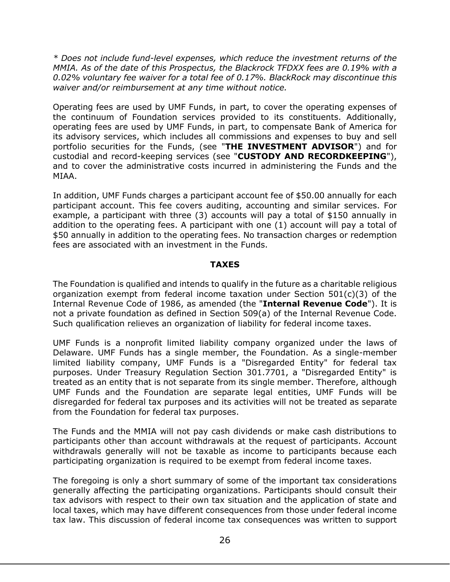*\* Does not include fund-level expenses, which reduce the investment returns of the MMIA. As of the date of this Prospectus, the Blackrock TFDXX fees are 0.19% with a 0.02% voluntary fee waiver for a total fee of 0.17%. BlackRock may discontinue this waiver and/or reimbursement at any time without notice.* 

Operating fees are used by UMF Funds, in part, to cover the operating expenses of the continuum of Foundation services provided to its constituents. Additionally, operating fees are used by UMF Funds, in part, to compensate Bank of America for its advisory services, which includes all commissions and expenses to buy and sell portfolio securities for the Funds, (see "**THE INVESTMENT ADVISOR**") and for custodial and record-keeping services (see "**CUSTODY AND RECORDKEEPING**"), and to cover the administrative costs incurred in administering the Funds and the MIAA.

In addition, UMF Funds charges a participant account fee of \$50.00 annually for each participant account. This fee covers auditing, accounting and similar services. For example, a participant with three (3) accounts will pay a total of \$150 annually in addition to the operating fees. A participant with one (1) account will pay a total of \$50 annually in addition to the operating fees. No transaction charges or redemption fees are associated with an investment in the Funds.

## **TAXES**

<span id="page-29-0"></span>The Foundation is qualified and intends to qualify in the future as a charitable religious organization exempt from federal income taxation under Section  $501(c)(3)$  of the Internal Revenue Code of 1986, as amended (the "**Internal Revenue Code**"). It is not a private foundation as defined in Section 509(a) of the Internal Revenue Code. Such qualification relieves an organization of liability for federal income taxes.

UMF Funds is a nonprofit limited liability company organized under the laws of Delaware. UMF Funds has a single member, the Foundation. As a single-member limited liability company, UMF Funds is a "Disregarded Entity" for federal tax purposes. Under Treasury Regulation Section 301.7701, a "Disregarded Entity" is treated as an entity that is not separate from its single member. Therefore, although UMF Funds and the Foundation are separate legal entities, UMF Funds will be disregarded for federal tax purposes and its activities will not be treated as separate from the Foundation for federal tax purposes.

The Funds and the MMIA will not pay cash dividends or make cash distributions to participants other than account withdrawals at the request of participants. Account withdrawals generally will not be taxable as income to participants because each participating organization is required to be exempt from federal income taxes.

The foregoing is only a short summary of some of the important tax considerations generally affecting the participating organizations. Participants should consult their tax advisors with respect to their own tax situation and the application of state and local taxes, which may have different consequences from those under federal income tax law. This discussion of federal income tax consequences was written to support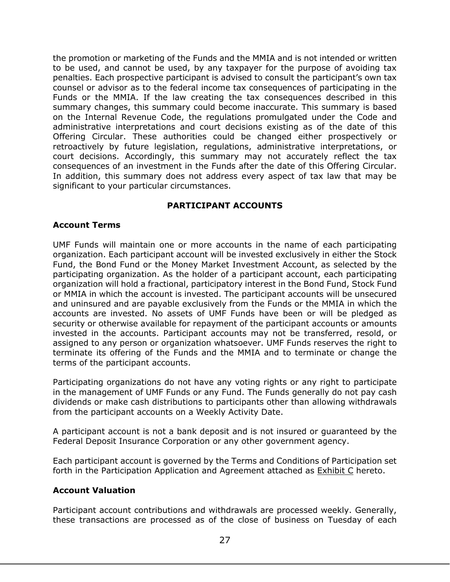the promotion or marketing of the Funds and the MMIA and is not intended or written to be used, and cannot be used, by any taxpayer for the purpose of avoiding tax penalties. Each prospective participant is advised to consult the participant's own tax counsel or advisor as to the federal income tax consequences of participating in the Funds or the MMIA. If the law creating the tax consequences described in this summary changes, this summary could become inaccurate. This summary is based on the Internal Revenue Code, the regulations promulgated under the Code and administrative interpretations and court decisions existing as of the date of this Offering Circular. These authorities could be changed either prospectively or retroactively by future legislation, regulations, administrative interpretations, or court decisions. Accordingly, this summary may not accurately reflect the tax consequences of an investment in the Funds after the date of this Offering Circular. In addition, this summary does not address every aspect of tax law that may be significant to your particular circumstances.

## **PARTICIPANT ACCOUNTS**

## <span id="page-30-0"></span>**Account Terms**

UMF Funds will maintain one or more accounts in the name of each participating organization. Each participant account will be invested exclusively in either the Stock Fund, the Bond Fund or the Money Market Investment Account, as selected by the participating organization. As the holder of a participant account, each participating organization will hold a fractional, participatory interest in the Bond Fund, Stock Fund or MMIA in which the account is invested. The participant accounts will be unsecured and uninsured and are payable exclusively from the Funds or the MMIA in which the accounts are invested. No assets of UMF Funds have been or will be pledged as security or otherwise available for repayment of the participant accounts or amounts invested in the accounts. Participant accounts may not be transferred, resold, or assigned to any person or organization whatsoever. UMF Funds reserves the right to terminate its offering of the Funds and the MMIA and to terminate or change the terms of the participant accounts.

Participating organizations do not have any voting rights or any right to participate in the management of UMF Funds or any Fund. The Funds generally do not pay cash dividends or make cash distributions to participants other than allowing withdrawals from the participant accounts on a Weekly Activity Date.

A participant account is not a bank deposit and is not insured or guaranteed by the Federal Deposit Insurance Corporation or any other government agency.

Each participant account is governed by the Terms and Conditions of Participation set forth in the Participation Application and Agreement attached as **Exhibit C** hereto.

## **Account Valuation**

Participant account contributions and withdrawals are processed weekly. Generally, these transactions are processed as of the close of business on Tuesday of each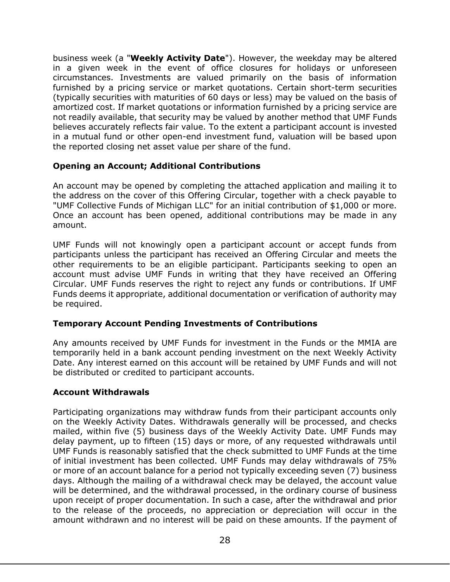business week (a "**Weekly Activity Date**"). However, the weekday may be altered in a given week in the event of office closures for holidays or unforeseen circumstances. Investments are valued primarily on the basis of information furnished by a pricing service or market quotations. Certain short-term securities (typically securities with maturities of 60 days or less) may be valued on the basis of amortized cost. If market quotations or information furnished by a pricing service are not readily available, that security may be valued by another method that UMF Funds believes accurately reflects fair value. To the extent a participant account is invested in a mutual fund or other open-end investment fund, valuation will be based upon the reported closing net asset value per share of the fund.

## **Opening an Account; Additional Contributions**

An account may be opened by completing the attached application and mailing it to the address on the cover of this Offering Circular, together with a check payable to "UMF Collective Funds of Michigan LLC" for an initial contribution of \$1,000 or more. Once an account has been opened, additional contributions may be made in any amount.

UMF Funds will not knowingly open a participant account or accept funds from participants unless the participant has received an Offering Circular and meets the other requirements to be an eligible participant. Participants seeking to open an account must advise UMF Funds in writing that they have received an Offering Circular. UMF Funds reserves the right to reject any funds or contributions. If UMF Funds deems it appropriate, additional documentation or verification of authority may be required.

## **Temporary Account Pending Investments of Contributions**

Any amounts received by UMF Funds for investment in the Funds or the MMIA are temporarily held in a bank account pending investment on the next Weekly Activity Date. Any interest earned on this account will be retained by UMF Funds and will not be distributed or credited to participant accounts.

## **Account Withdrawals**

Participating organizations may withdraw funds from their participant accounts only on the Weekly Activity Dates. Withdrawals generally will be processed, and checks mailed, within five (5) business days of the Weekly Activity Date. UMF Funds may delay payment, up to fifteen (15) days or more, of any requested withdrawals until UMF Funds is reasonably satisfied that the check submitted to UMF Funds at the time of initial investment has been collected. UMF Funds may delay withdrawals of 75% or more of an account balance for a period not typically exceeding seven (7) business days. Although the mailing of a withdrawal check may be delayed, the account value will be determined, and the withdrawal processed, in the ordinary course of business upon receipt of proper documentation. In such a case, after the withdrawal and prior to the release of the proceeds, no appreciation or depreciation will occur in the amount withdrawn and no interest will be paid on these amounts. If the payment of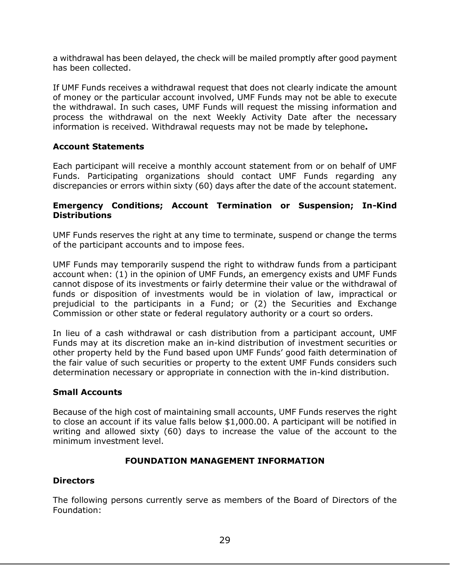a withdrawal has been delayed, the check will be mailed promptly after good payment has been collected.

If UMF Funds receives a withdrawal request that does not clearly indicate the amount of money or the particular account involved, UMF Funds may not be able to execute the withdrawal. In such cases, UMF Funds will request the missing information and process the withdrawal on the next Weekly Activity Date after the necessary information is received. Withdrawal requests may not be made by telephone**.**

## **Account Statements**

Each participant will receive a monthly account statement from or on behalf of UMF Funds. Participating organizations should contact UMF Funds regarding any discrepancies or errors within sixty (60) days after the date of the account statement.

## **Emergency Conditions; Account Termination or Suspension; In-Kind Distributions**

UMF Funds reserves the right at any time to terminate, suspend or change the terms of the participant accounts and to impose fees.

UMF Funds may temporarily suspend the right to withdraw funds from a participant account when: (1) in the opinion of UMF Funds, an emergency exists and UMF Funds cannot dispose of its investments or fairly determine their value or the withdrawal of funds or disposition of investments would be in violation of law, impractical or prejudicial to the participants in a Fund; or (2) the Securities and Exchange Commission or other state or federal regulatory authority or a court so orders.

In lieu of a cash withdrawal or cash distribution from a participant account, UMF Funds may at its discretion make an in-kind distribution of investment securities or other property held by the Fund based upon UMF Funds' good faith determination of the fair value of such securities or property to the extent UMF Funds considers such determination necessary or appropriate in connection with the in-kind distribution.

## **Small Accounts**

Because of the high cost of maintaining small accounts, UMF Funds reserves the right to close an account if its value falls below \$1,000.00. A participant will be notified in writing and allowed sixty (60) days to increase the value of the account to the minimum investment level.

## **FOUNDATION MANAGEMENT INFORMATION**

## <span id="page-32-0"></span>**Directors**

The following persons currently serve as members of the Board of Directors of the Foundation: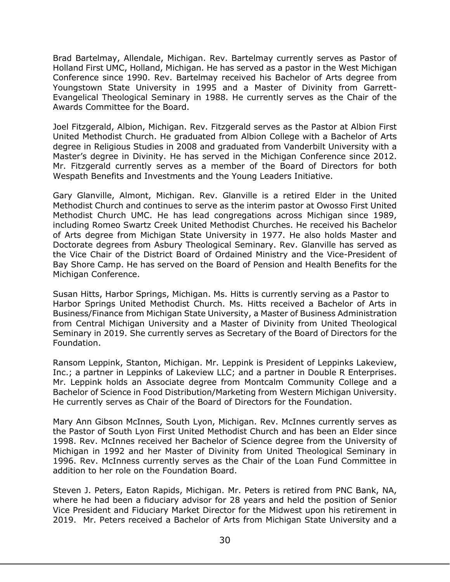Brad Bartelmay, Allendale, Michigan. Rev. Bartelmay currently serves as Pastor of Holland First UMC, Holland, Michigan. He has served as a pastor in the West Michigan Conference since 1990. Rev. Bartelmay received his Bachelor of Arts degree from Youngstown State University in 1995 and a Master of Divinity from Garrett-Evangelical Theological Seminary in 1988. He currently serves as the Chair of the Awards Committee for the Board.

Joel Fitzgerald, Albion, Michigan. Rev. Fitzgerald serves as the Pastor at Albion First United Methodist Church. He graduated from Albion College with a Bachelor of Arts degree in Religious Studies in 2008 and graduated from Vanderbilt University with a Master's degree in Divinity. He has served in the Michigan Conference since 2012. Mr. Fitzgerald currently serves as a member of the Board of Directors for both Wespath Benefits and Investments and the Young Leaders Initiative.

Gary Glanville, Almont, Michigan. Rev. Glanville is a retired Elder in the United Methodist Church and continues to serve as the interim pastor at Owosso First United Methodist Church UMC. He has lead congregations across Michigan since 1989, including Romeo Swartz Creek United Methodist Churches. He received his Bachelor of Arts degree from Michigan State University in 1977. He also holds Master and Doctorate degrees from Asbury Theological Seminary. Rev. Glanville has served as the Vice Chair of the District Board of Ordained Ministry and the Vice-President of Bay Shore Camp. He has served on the Board of Pension and Health Benefits for the Michigan Conference.

Susan Hitts, Harbor Springs, Michigan. Ms. Hitts is currently serving as a Pastor to Harbor Springs United Methodist Church. Ms. Hitts received a Bachelor of Arts in Business/Finance from Michigan State University, a Master of Business Administration from Central Michigan University and a Master of Divinity from United Theological Seminary in 2019. She currently serves as Secretary of the Board of Directors for the Foundation.

Ransom Leppink, Stanton, Michigan. Mr. Leppink is President of Leppinks Lakeview, Inc.; a partner in Leppinks of Lakeview LLC; and a partner in Double R Enterprises. Mr. Leppink holds an Associate degree from Montcalm Community College and a Bachelor of Science in Food Distribution/Marketing from Western Michigan University. He currently serves as Chair of the Board of Directors for the Foundation.

Mary Ann Gibson McInnes, South Lyon, Michigan. Rev. McInnes currently serves as the Pastor of South Lyon First United Methodist Church and has been an Elder since 1998. Rev. McInnes received her Bachelor of Science degree from the University of Michigan in 1992 and her Master of Divinity from United Theological Seminary in 1996. Rev. McInness currently serves as the Chair of the Loan Fund Committee in addition to her role on the Foundation Board.

Steven J. Peters, Eaton Rapids, Michigan. Mr. Peters is retired from PNC Bank, NA, where he had been a fiduciary advisor for 28 years and held the position of Senior Vice President and Fiduciary Market Director for the Midwest upon his retirement in 2019. Mr. Peters received a Bachelor of Arts from Michigan State University and a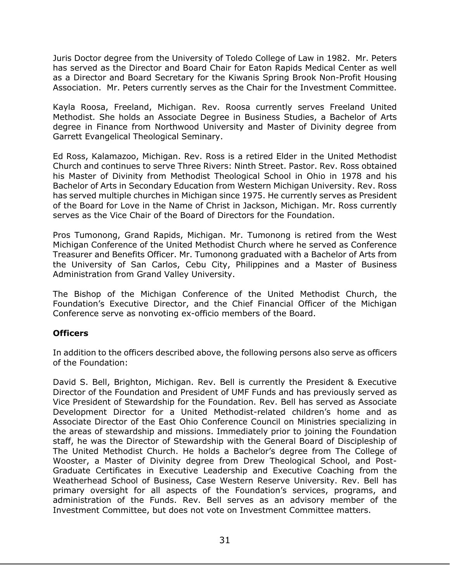Juris Doctor degree from the University of Toledo College of Law in 1982. Mr. Peters has served as the Director and Board Chair for Eaton Rapids Medical Center as well as a Director and Board Secretary for the Kiwanis Spring Brook Non-Profit Housing Association. Mr. Peters currently serves as the Chair for the Investment Committee.

Kayla Roosa, Freeland, Michigan. Rev. Roosa currently serves Freeland United Methodist. She holds an Associate Degree in Business Studies, a Bachelor of Arts degree in Finance from Northwood University and Master of Divinity degree from Garrett Evangelical Theological Seminary.

Ed Ross, Kalamazoo, Michigan. Rev. Ross is a retired Elder in the United Methodist Church and continues to serve Three Rivers: Ninth Street. Pastor. Rev. Ross obtained his Master of Divinity from Methodist Theological School in Ohio in 1978 and his Bachelor of Arts in Secondary Education from Western Michigan University. Rev. Ross has served multiple churches in Michigan since 1975. He currently serves as President of the Board for Love in the Name of Christ in Jackson, Michigan. Mr. Ross currently serves as the Vice Chair of the Board of Directors for the Foundation.

Pros Tumonong, Grand Rapids, Michigan. Mr. Tumonong is retired from the West Michigan Conference of the United Methodist Church where he served as Conference Treasurer and Benefits Officer. Mr. Tumonong graduated with a Bachelor of Arts from the University of San Carlos, Cebu City, Philippines and a Master of Business Administration from Grand Valley University.

The Bishop of the Michigan Conference of the United Methodist Church, the Foundation's Executive Director, and the Chief Financial Officer of the Michigan Conference serve as nonvoting ex-officio members of the Board.

## **Officers**

In addition to the officers described above, the following persons also serve as officers of the Foundation:

David S. Bell, Brighton, Michigan. Rev. Bell is currently the President & Executive Director of the Foundation and President of UMF Funds and has previously served as Vice President of Stewardship for the Foundation. Rev. Bell has served as Associate Development Director for a United Methodist-related children's home and as Associate Director of the East Ohio Conference Council on Ministries specializing in the areas of stewardship and missions. Immediately prior to joining the Foundation staff, he was the Director of Stewardship with the General Board of Discipleship of The United Methodist Church. He holds a Bachelor's degree from The College of Wooster, a Master of Divinity degree from Drew Theological School, and Post-Graduate Certificates in Executive Leadership and Executive Coaching from the Weatherhead School of Business, Case Western Reserve University. Rev. Bell has primary oversight for all aspects of the Foundation's services, programs, and administration of the Funds. Rev. Bell serves as an advisory member of the Investment Committee, but does not vote on Investment Committee matters.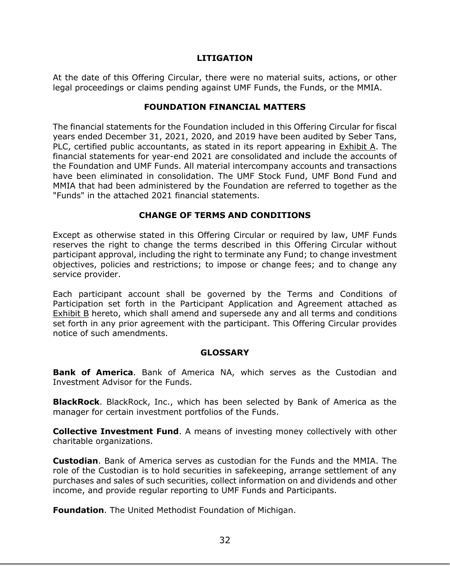#### **LITIGATION**

<span id="page-35-0"></span>At the date of this Offering Circular, there were no material suits, actions, or other legal proceedings or claims pending against UMF Funds, the Funds, or the MMIA.

#### **FOUNDATION FINANCIAL MATTERS**

<span id="page-35-1"></span>The financial statements for the Foundation included in this Offering Circular for fiscal years ended December 31, 2021, 2020, and 2019 have been audited by Seber Tans, PLC, certified public accountants, as stated in its report appearing in Exhibit A. The financial statements for year-end 2021 are consolidated and include the accounts of the Foundation and UMF Funds. All material intercompany accounts and transactions have been eliminated in consolidation. The UMF Stock Fund, UMF Bond Fund and MMIA that had been administered by the Foundation are referred to together as the "Funds" in the attached 2021 financial statements.

## **CHANGE OF TERMS AND CONDITIONS**

<span id="page-35-2"></span>Except as otherwise stated in this Offering Circular or required by law, UMF Funds reserves the right to change the terms described in this Offering Circular without participant approval, including the right to terminate any Fund; to change investment objectives, policies and restrictions; to impose or change fees; and to change any service provider.

Each participant account shall be governed by the Terms and Conditions of Participation set forth in the Participant Application and Agreement attached as Exhibit B hereto, which shall amend and supersede any and all terms and conditions set forth in any prior agreement with the participant. This Offering Circular provides notice of such amendments.

## **GLOSSARY**

<span id="page-35-3"></span>**Bank of America**. Bank of America NA, which serves as the Custodian and Investment Advisor for the Funds.

**BlackRock**. BlackRock, Inc., which has been selected by Bank of America as the manager for certain investment portfolios of the Funds.

**Collective Investment Fund**. A means of investing money collectively with other charitable organizations.

**Custodian**. Bank of America serves as custodian for the Funds and the MMIA. The role of the Custodian is to hold securities in safekeeping, arrange settlement of any purchases and sales of such securities, collect information on and dividends and other income, and provide regular reporting to UMF Funds and Participants.

**Foundation**. The United Methodist Foundation of Michigan.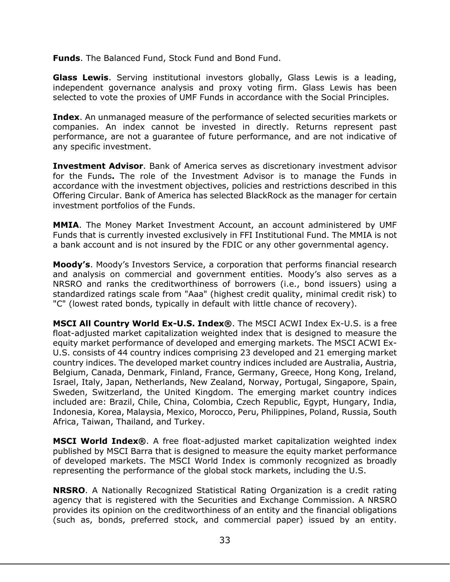**Funds**. The Balanced Fund, Stock Fund and Bond Fund.

**Glass Lewis**. Serving institutional investors globally, Glass Lewis is a leading, independent governance analysis and proxy voting firm. Glass Lewis has been selected to vote the proxies of UMF Funds in accordance with the Social Principles.

**Index**. An unmanaged measure of the performance of selected securities markets or companies. An index cannot be invested in directly. Returns represent past performance, are not a guarantee of future performance, and are not indicative of any specific investment.

**Investment Advisor**. Bank of America serves as discretionary investment advisor for the Funds**.** The role of the Investment Advisor is to manage the Funds in accordance with the investment objectives, policies and restrictions described in this Offering Circular. Bank of America has selected BlackRock as the manager for certain investment portfolios of the Funds.

**MMIA**. The Money Market Investment Account, an account administered by UMF Funds that is currently invested exclusively in FFI Institutional Fund. The MMIA is not a bank account and is not insured by the FDIC or any other governmental agency.

**Moody's**. Moody's Investors Service, a corporation that performs financial research and analysis on commercial and government entities. Moody's also serves as a NRSRO and ranks the creditworthiness of borrowers (i.e., bond issuers) using a standardized ratings scale from "Aaa" (highest credit quality, minimal credit risk) to "C" (lowest rated bonds, typically in default with little chance of recovery).

**MSCI All Country World Ex-U.S. Index®**. The MSCI ACWI Index Ex-U.S. is a free float-adjusted market capitalization weighted index that is designed to measure the equity market performance of developed and emerging markets. The MSCI ACWI Ex-U.S. consists of 44 country indices comprising 23 developed and 21 emerging market country indices. The developed market country indices included are Australia, Austria, Belgium, Canada, Denmark, Finland, France, Germany, Greece, Hong Kong, Ireland, Israel, Italy, Japan, Netherlands, New Zealand, Norway, Portugal, Singapore, Spain, Sweden, Switzerland, the United Kingdom. The emerging market country indices included are: Brazil, Chile, China, Colombia, Czech Republic, Egypt, Hungary, India, Indonesia, Korea, Malaysia, Mexico, Morocco, Peru, Philippines, Poland, Russia, South Africa, Taiwan, Thailand, and Turkey.

**MSCI World Index®**. A free float-adjusted market capitalization weighted index published by MSCI Barra that is designed to measure the equity market performance of developed markets. The MSCI World Index is commonly recognized as broadly representing the performance of the global stock markets, including the U.S.

**NRSRO**. A Nationally Recognized Statistical Rating Organization is a credit rating agency that is registered with the Securities and Exchange Commission. A NRSRO provides its opinion on the creditworthiness of an entity and the financial obligations (such as, bonds, preferred stock, and commercial paper) issued by an entity.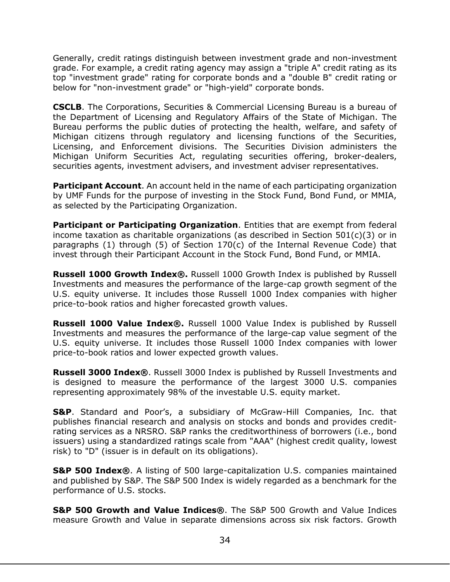Generally, credit ratings distinguish between investment grade and non-investment grade. For example, a credit rating agency may assign a "triple A" credit rating as its top "investment grade" rating for corporate bonds and a "double B" credit rating or below for "non-investment grade" or "high-yield" corporate bonds.

**CSCLB**. The Corporations, Securities & Commercial Licensing Bureau is a bureau of the Department of Licensing and Regulatory Affairs of the State of Michigan. The Bureau performs the public duties of protecting the health, welfare, and safety of Michigan citizens through regulatory and licensing functions of the Securities, Licensing, and Enforcement divisions. The Securities Division administers the Michigan Uniform Securities Act, regulating securities offering, broker-dealers, securities agents, investment advisers, and investment adviser representatives.

**Participant Account**. An account held in the name of each participating organization by UMF Funds for the purpose of investing in the Stock Fund, Bond Fund, or MMIA, as selected by the Participating Organization.

**Participant or Participating Organization**. Entities that are exempt from federal income taxation as charitable organizations (as described in Section  $501(c)(3)$  or in paragraphs (1) through (5) of Section 170(c) of the Internal Revenue Code) that invest through their Participant Account in the Stock Fund, Bond Fund, or MMIA.

**Russell 1000 Growth Index®.** Russell 1000 Growth Index is published by Russell Investments and measures the performance of the large-cap growth segment of the U.S. equity universe. It includes those Russell 1000 Index companies with higher price-to-book ratios and higher forecasted growth values.

**Russell 1000 Value Index®.** Russell 1000 Value Index is published by Russell Investments and measures the performance of the large-cap value segment of the U.S. equity universe. It includes those Russell 1000 Index companies with lower price-to-book ratios and lower expected growth values.

**Russell 3000 Index®**. Russell 3000 Index is published by Russell Investments and is designed to measure the performance of the largest 3000 U.S. companies representing approximately 98% of the investable U.S. equity market.

**S&P**. Standard and Poor's, a subsidiary of McGraw-Hill Companies, Inc. that publishes financial research and analysis on stocks and bonds and provides creditrating services as a NRSRO. S&P ranks the creditworthiness of borrowers (i.e., bond issuers) using a standardized ratings scale from "AAA" (highest credit quality, lowest risk) to "D" (issuer is in default on its obligations).

**S&P 500 Index®**. A listing of 500 large-capitalization U.S. companies maintained and published by S&P. The S&P 500 Index is widely regarded as a benchmark for the performance of U.S. stocks.

**S&P 500 Growth and Value Indices®**. The S&P 500 Growth and Value Indices measure Growth and Value in separate dimensions across six risk factors. Growth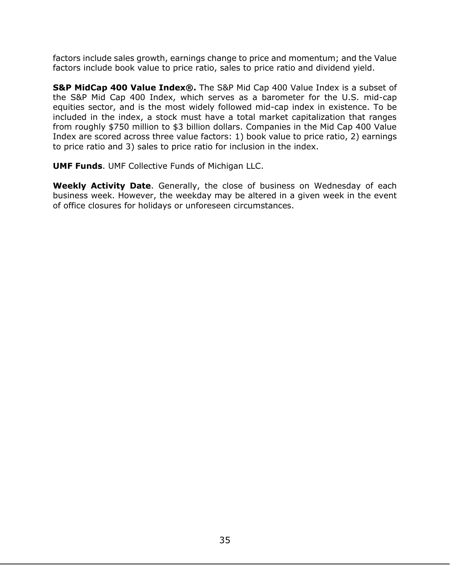factors include sales growth, earnings change to price and momentum; and the Value factors include book value to price ratio, sales to price ratio and dividend yield.

**S&P MidCap 400 Value Index®.** The S&P Mid Cap 400 Value Index is a subset of the S&P Mid Cap 400 Index, which serves as a barometer for the U.S. mid-cap equities sector, and is the most widely followed mid-cap index in existence. To be included in the index, a stock must have a total market capitalization that ranges from roughly \$750 million to \$3 billion dollars. Companies in the Mid Cap 400 Value Index are scored across three value factors: 1) book value to price ratio, 2) earnings to price ratio and 3) sales to price ratio for inclusion in the index.

**UMF Funds**. UMF Collective Funds of Michigan LLC.

**Weekly Activity Date**. Generally, the close of business on Wednesday of each business week. However, the weekday may be altered in a given week in the event of office closures for holidays or unforeseen circumstances.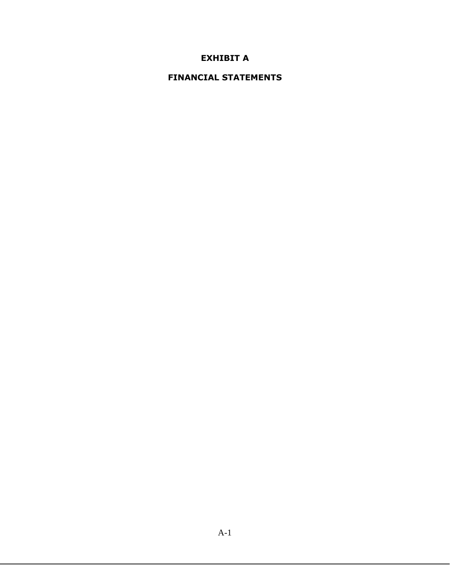## **EXHIBIT A**

## **FINANCIAL STATEMENTS**